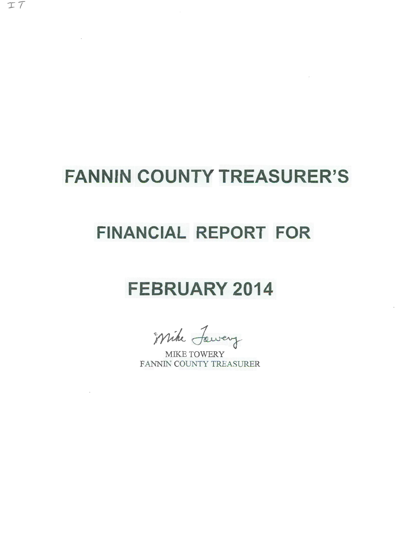# **FANNIN COUNTY TREASURER'S**

and the

# **FINANCIAL REPORT FOR**

# **FEBRUARY 2014**

Mike Jawery

FANNIN COUNTY TREASURER

 $\sim 10^{11}$  km s  $^{-1}$ 

 $\sim$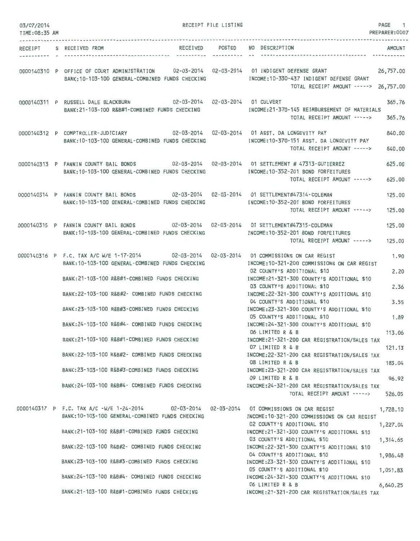| 03/07/2014<br>TIME:08:35 AM |                                                                                                                                                                                                                                                                                                                                                                                                                                                                                                                                                              | RECEIPT FILE LISTING |                                                                                                                                                                                                                                                                                                                                                                                                                                                                                                                                                                                                                                                                                    | PAGE 1<br>PREPARER: 0007                                                              |
|-----------------------------|--------------------------------------------------------------------------------------------------------------------------------------------------------------------------------------------------------------------------------------------------------------------------------------------------------------------------------------------------------------------------------------------------------------------------------------------------------------------------------------------------------------------------------------------------------------|----------------------|------------------------------------------------------------------------------------------------------------------------------------------------------------------------------------------------------------------------------------------------------------------------------------------------------------------------------------------------------------------------------------------------------------------------------------------------------------------------------------------------------------------------------------------------------------------------------------------------------------------------------------------------------------------------------------|---------------------------------------------------------------------------------------|
|                             | RECEIPT S RECEIVED FROM                                                                                                                                                                                                                                                                                                                                                                                                                                                                                                                                      | RECEIVED POSTED      | NO DESCRIPTION                                                                                                                                                                                                                                                                                                                                                                                                                                                                                                                                                                                                                                                                     | AMOUNT                                                                                |
|                             | 0000140310 P OFFICE OF COURT ADMINISTRATION 02-03-2014 02-03-2014 01 INDIGENT DEFENSE GRANT<br>BANK: 10-103-100 GENERAL-COMBINED FUNDS CHECKING                                                                                                                                                                                                                                                                                                                                                                                                              |                      | INCOME:10-330-437 INDIGENT DEFENSE GRANT<br>TOTAL RECEIPT AMOUNT -----> 26,757.00                                                                                                                                                                                                                                                                                                                                                                                                                                                                                                                                                                                                  | 26,757.00                                                                             |
|                             | 0000140311 P RUSSELL DALE BLACKBURN 02-03-2014 02-03-2014 01 CULVERT<br>BANK: 21-103-100 R&B#1-COMBINED FUNDS CHECKING                                                                                                                                                                                                                                                                                                                                                                                                                                       |                      | INCOME:21-370-145 REIMBURSEMENT OF MATERIALS<br>TOTAL RECEIPT AMOUNT ----->                                                                                                                                                                                                                                                                                                                                                                                                                                                                                                                                                                                                        | 365.76<br>365.76                                                                      |
|                             | 0000140312 P COMPTROLLER-JUDICIARY 02-03-2014 02-03-2014 01 ASST. DA LONGEVITY PAY<br>BANK: 10-103-100 GENERAL-COMBINED FUNDS CHECKING                                                                                                                                                                                                                                                                                                                                                                                                                       |                      | INCOME: 10-370-151 ASST. DA LONGEVITY PAY<br>TOTAL RECEIPT AMOUNT ----->                                                                                                                                                                                                                                                                                                                                                                                                                                                                                                                                                                                                           | 840,00<br>840.00                                                                      |
|                             | 0000140313 P FANNIN COUNTY BAIL BONDS 02-03-2014 02-03-2014 01 SETTLEMENT # 47313-GUTIERREZ<br>BANK: 10-103-100 GENERAL-COMBINED FUNDS CHECKING                                                                                                                                                                                                                                                                                                                                                                                                              |                      | INCOME:10-352-201 BOND FORFEITURES<br>TOTAL RECEIPT AMOUNT ----->                                                                                                                                                                                                                                                                                                                                                                                                                                                                                                                                                                                                                  | 625.00<br>625.00                                                                      |
|                             | 0000140314 P FANNIN COUNTY BAIL BONDS 02-03-2014 02-03-2014 01 SETTLEMENT#47314-COLEMAN<br>BANK: 10-103-100 GENERAL-COMBINED FUNDS CHECKING                                                                                                                                                                                                                                                                                                                                                                                                                  |                      | INCOME: 10-352-201 BOND FORFEITURES<br>TOTAL RECEIPT AMOUNT ----->                                                                                                                                                                                                                                                                                                                                                                                                                                                                                                                                                                                                                 | 125.00<br>125.00                                                                      |
|                             | 0000140315 P FANNIN COUNTY BAIL BONDS 02-03-2014 02-03-2014 01 SETTLEMENT#47315-COLEMAN<br>BANK: 10-103-100 GENERAL-COMBINED FUNDS CHECKING                                                                                                                                                                                                                                                                                                                                                                                                                  |                      | INCOME:10-352-201 BOND FORFEITURES<br>TOTAL RECEIPT AMOUNT ----->                                                                                                                                                                                                                                                                                                                                                                                                                                                                                                                                                                                                                  | 125.00<br>125.00                                                                      |
|                             | 0000140316 P F.C. TAX A/C W/E 1-17-2014 02-03-2014 02-03-2014 01 COMMISSIONS ON CAR REGIST<br>BANK: 10-103-100 GENERAL-COMBINED FUNDS CHECKING<br>BANK: 21-103-100 R&B#1-COMBINED FUNDS CHECKING<br>BANK:22-103-100 R&B#2- COMBINED FUNDS CHECKING<br>BANK:23-103-100 R&B#3-COMBINED FUNDS CHECKING<br>BANK: 24-103-100 R&B#4- COMBINED FUNDS CHECKING<br>BANK:21-103-100 R&B#1-COMBINED FUNDS CHECKING<br>BANK:22-103-100 R&B#2- COMBINED FUNDS CHECKING<br>BANK:23-103-100 R&B#3-COMBINED FUNDS CHECKING<br>BANK:24-103-100 R&B#4- COMBINED FUNDS CHECKING |                      | INCOME:10-321-200 COMMISSIONS ON CAR REGIST<br>02 COUNTY'S ADDITIONAL \$10<br>INCOME: 21-321-300 COUNTY'S ADDITIONAL \$10<br>03 COUNTY'S ADDITIONAL \$10<br>INCOME: 22-321-300 COUNTY'S ADDITIONAL \$10<br>04 COUNTY'S ADDITIONAL \$10<br>INCOME: 23-321-300 COUNTY'S ADDITIONAL \$10<br>05 COUNTY'S ADDITIONAL \$10<br>INCOME: 24-321-300 COUNTY'S ADDITIONAL \$10<br>06 LIMITED R & B<br>INCOME:21-321-200 CAR REGISTRATION/SALES TAX<br>07 LIMITED R & B<br>INCOME:22-321-200 CAR REGISTRATION/SALES TAX<br>08 LIMITED R & B<br>INCOME:23-321-200 CAR REGISTRATION/SALES TAX<br>09 LIMITED R & B<br>INCOME:24-321-200 CAR REGISTRATION/SALES TAX<br>TOTAL RECEIPT AMOUNT -----> | 1.90<br>2.20<br>2.36<br>3.55<br>1.89<br>113.06<br>121.13<br>183.04<br>96.92<br>526.05 |
|                             | 0000140317 P F.C. TAX A/C -W/E 1-24-2014 02-03-2014 02-03-2014 01 COMMISSIONS ON CAR REGIST<br>BANK: 10-103-100 GENERAL-COMBINED FUNDS CHECKING<br>BANK:21-103-100 R&B#1-COMBINED FUNDS CHECKING<br>BANK:22-103-100 R&B#2- COMBINED FUNDS CHECKING<br>BANK:23-103-100 R&B#3-COMBINED FUNDS CHECKING<br>BANK:24-103-100 R&B#4- COMBINED FUNDS CHECKING<br>BANK:21-103-100 R&B#1-COMBINED FUNDS CHECKING                                                                                                                                                       |                      | INCOME: 10-321-200 COMMISSIONS ON CAR REGIST<br>02 COUNTY'S ADDITIONAL \$10<br>INCOME:21-321-300 COUNTY'S ADDITIONAL \$10<br>03 COUNTY'S ADDITIONAL \$10<br>INCOME:22-321-300 COUNTY'S ADDITIONAL \$10<br>04 COUNTY'S ADDITIONAL \$10<br>INCOME:23-321-300 COUNTY'S ADDITIONAL \$10<br>05 COUNTY'S ADDITIONAL \$10<br>INCOME: 24-321-300 COUNTY'S ADDITIONAL \$10<br>06 LIMITED R & B<br>INCOME:21-321-200 CAR REGISTRATION/SALES TAX                                                                                                                                                                                                                                              | 1,728.10<br>1,227.04<br>1,314.65<br>1,986.48<br>1,051.83<br>6,640.25                  |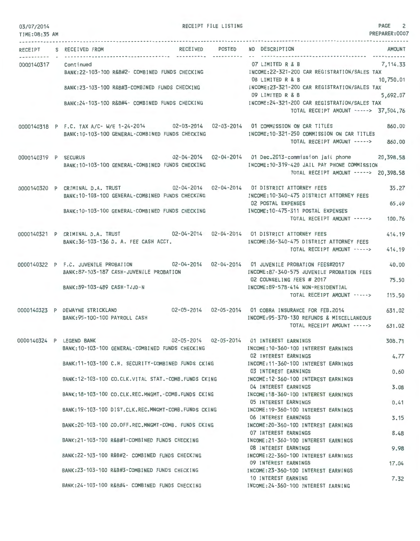| 03/07/2014<br>TIME:08:35 AM |                                                                                                                                                                        | RECEIPT FILE LISTING |                                                                                                                                                   | PAGE 2<br>PREPARER:0007  |
|-----------------------------|------------------------------------------------------------------------------------------------------------------------------------------------------------------------|----------------------|---------------------------------------------------------------------------------------------------------------------------------------------------|--------------------------|
| RECEIPT                     | S RECEIVED FROM                                                                                                                                                        | RECEIVED POSTED      | NO DESCRIPTION                                                                                                                                    | <b>AMOUNT</b>            |
| 0000140317 Continued        | BANK:22-103-100 R&B#2- COMBINED FUNDS CHECKING   INCOME:22-321-200 CAR REGISTRATION/SALES TAX                                                                          |                      | 07 LIMITED R & B<br>08 LIMITED R & B                                                                                                              | 7, 114.33<br>10,750.01   |
|                             | BANK:23-103-100 R&B#3-COMBINED FUNDS CHECKING MACHINE INCOME:23-321-200 CAR REGISTRATION/SALES TAX                                                                     |                      | 09 LIMITED R & B                                                                                                                                  | 5,692.07                 |
|                             | BANK:24-103-100 R&B#4- COMBINED FUNDS CHECKING MANUSIC MECOME:24-321-200 CAR REGISTRATION/SALES TAX                                                                    |                      | TOTAL RECEIPT AMOUNT -----> 37,504.76                                                                                                             |                          |
|                             | 0000140318 P F.C. TAX A/C-W/E 1-24-2014 02-03-2014 02-03-2014 01 COMMISSION ON CAR TITLES<br>BANK: 10-103-100 GENERAL-COMBINED FUNDS CHECKING                          |                      | INCOME:10-321-250 COMMISSION ON CAR TITLES<br>TOTAL RECEIPT AMOUNT ----->                                                                         | 860.00<br>860,00         |
| 0000140319 P SECURUS        | BANK: 10-103-100 GENERAL-COMBINED FUNDS CHECKING                                                                                                                       |                      | 02-04-2014  02-04-2014  01 Dec.2013-commission jail phone<br>INCOME:10-319-420 JAIL PAY PHONE COMMISSION<br>TOTAL RECEIPT AMOUNT -----> 20,398.58 | 20,398.58                |
|                             | 0000140320 P CRIMINAL D.A. TRUST 02-04-2014 02-04-2014 01 DISTRICT ATTORNEY FEES<br>BANK: 10-103-100 GENERAL-COMBINED FUNDS CHECKING                                   |                      | INCOME: 10-340-475 DISTRICT ATTORNEY FEES<br><b>02 POSTAL EXPENSES</b>                                                                            | 35.27<br>65.49           |
|                             | BANK: 10-103-100 GENERAL-COMBINED FUNDS CHECKING                                                                                                                       |                      | INCOME: 10-475-311 POSTAL EXPENSES<br>TOTAL RECEIPT AMOUNT ----->                                                                                 | 100,76                   |
|                             | 0000140321 P CRIMINAL D.A. TRUST 02-04-2014 02-04-2014 01 DISTRICT ATTORNEY FEES<br>BANK: 36-103-136 D. A. FEE CASH ACCT.                                              |                      | INCOME: 36-340-475 DISTRICT ATTORNEY FEES<br>TOTAL RECEIPT AMOUNT ----->                                                                          | 414.19<br>414.19         |
|                             | 0000140322 P F.C. JUVENILE PROBATION 02-04-2014 02-04-2014 01 JUVENILE PROBATION FEES#2017<br>BANK: 87-103-187 CASH-JUVENILE PROBATION<br>BANK: 89-103-489 CASH-TJJD-N |                      | INCOME:87-340-575 JUVENILE PROBATION FEES<br>02 COUNSELING FEES # 2017<br>INCOME: 89-578-414 NON-RESIDENTIAL<br>TOTAL RECEIPT AMOUNT ----->       | 40.00<br>75.50<br>115.50 |
|                             | 0000140323 P DEWAYNE STRICKLAND<br>BANK: 95-100-100 PAYROLL CASH                                                                                                       |                      | 02-05-2014  02-05-2014  01 COBRA INSURANCE FOR FEB.2014<br>INCOME: 95-370-130 REFUNDS & MISCELLANEOUS<br>TOTAL RECEIPT AMOUNT ----->              | 631.02<br>631.02         |
|                             | 0000140324 P LEGEND BANK<br>BANK:10-103-100 GENERAL-COMBINED FUNDS CHECKING                                                                                            |                      | 02-05-2014  02-05-2014  01 INTEREST EARNINGS<br>INCOME: 10-360-100 INTEREST EARNINGS                                                              | 308.71                   |
|                             | BANK: 11-103-100 C.H. SECURITY-COMBINED FUNDS CKING                                                                                                                    |                      | 02 INTEREST EARNINGS<br>INCOME: 11-360-100 INTEREST EARNINGS<br>03 INTEREST EARNINGS                                                              | 4.77<br>0.60             |
|                             | BANK:12-103-100 CO.CLK.VITAL STAT.-COMB.FUNDS CKING                                                                                                                    |                      | INCOME: 12-360-100 INTEREST EARNINGS<br>04 INTEREST EARNINGS                                                                                      | 3.08                     |
|                             | BANK: 18-103-100 CO.CLK.REC.MNGMT.-COMB.FUNDS CKING                                                                                                                    |                      | INCOME: 18-360-100 INTEREST EARNINGS<br>05 INTEREST EARNINGS                                                                                      | 0.41                     |
|                             | BANK:19-103-100 DIST.CLK.REC.MNGMT-COMB.FUNDS CKING                                                                                                                    |                      | INCOME: 19-360-100 INTEREST EARNINGS<br>06 INTEREST EARNINGS                                                                                      | 3.15                     |
|                             | BANK: 20-103-100 CO.OFF.REC.MNGMT-COMB. FUNDS CKING                                                                                                                    |                      | INCOME: 20-360-100 INTEREST EARNINGS<br>07 INTEREST EARNINGS                                                                                      | 8.48                     |
|                             | BANK:21-103-100 R&B#1-COMBINED FUNDS CHECKING                                                                                                                          |                      | INCOME: 21-360-100 INTEREST EARNINGS<br>08 INTEREST EARNINGS                                                                                      | 9.98                     |
|                             | BANK:22-103-100 R&B#2- COMBINED FUNDS CHECKING                                                                                                                         |                      | INCOME: 22-360-100 INTEREST EARNINGS<br>09 INTEREST EARNINGS                                                                                      | 17.04                    |
|                             | BANK:23-103-100 R&B#3-COMBINED FUNDS CHECKING                                                                                                                          |                      | INCOME: 23-360-100 INTEREST EARNINGS<br>10 INTEREST EARNING                                                                                       | 7.32                     |

BANK:24-103-100 R&B#4- COMBINED FUNDS CHECKING

INCOME:24-360-100 INTEREST EARNING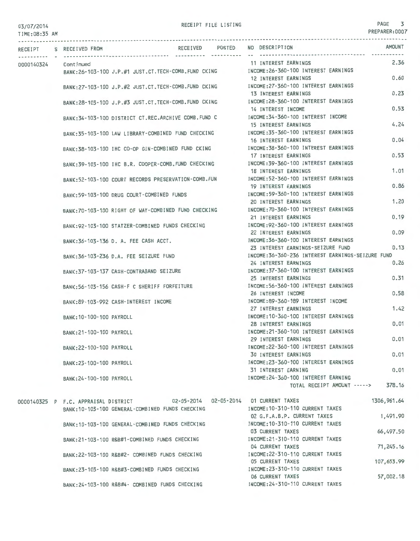#### TIME:08 :35 AM

### RECEIPT FILE LISTING **PAGE** 3

PREPARER:0007

| RECEIPT S RECEIVED FROM |                                                                             | RECEIVED POSTED | NO DESCRIPTION                                                                         | <b>AMOUNT</b> |
|-------------------------|-----------------------------------------------------------------------------|-----------------|----------------------------------------------------------------------------------------|---------------|
| 0000140324 Continued    |                                                                             |                 | 11 INTEREST EARNINGS                                                                   | 2.36          |
|                         |                                                                             |                 | BANK:26-103-100 J.P.#1 JUST.CT.TECH-COMB.FUND CKING MCOME:26-360-100 INTEREST EARNINGS |               |
|                         |                                                                             |                 | 12 INTEREST EARNINGS                                                                   | 0.60          |
|                         | BANK:27-103-100 J.P.#2 JUST.CT.TECH-COMB.FUND CKING                         |                 | INCOME:27-360-100 INTEREST EARNINGS                                                    |               |
|                         |                                                                             |                 | 13 INTEREST EARNINGS                                                                   | 0.23          |
|                         | BANK:28-103-100 J.P.#3 JUST.CT.TECH-COMB.FUND CKING                         |                 | INCOME:28-360-100 INTEREST EARNINGS                                                    |               |
|                         |                                                                             |                 | 14 INTEREST INCOME                                                                     | 0.53          |
|                         | BANK:34-103-100 DISTRICT CT.REC.ARCHIVE COMB. FUND C                        |                 | INCOME: 34-360-100 INTEREST INCOME                                                     |               |
|                         |                                                                             |                 | 15 INTEREST EARNINGS                                                                   | 4.24          |
|                         | BANK:35-103-100 LAW LIBRARY-COMBINED FUND CHECKING                          |                 | INCOME: 35-360-100 INTEREST EARNINGS                                                   |               |
|                         |                                                                             |                 | 16 INTEREST EARNINGS                                                                   | 0.04          |
|                         | BANK:38-103-100 IHC CO-OP GIN-COMBINED FUND CKING                           |                 | INCOME: 38-360-100 INTEREST EARNINGS                                                   |               |
|                         |                                                                             |                 | 17 INTEREST EARNINGS                                                                   | 0.53          |
|                         | BANK:39-103-100 IHC B.R. COOPER-COMB. FUND CHECKING                         |                 | INCOME: 39-360-100 INTEREST EARNINGS                                                   |               |
|                         |                                                                             |                 | 18 INTEREST EARNINGS                                                                   | 1.01          |
|                         | BANK:52-103-100 COURT RECORDS PRESERVATION-COMB.FUN                         |                 | INCOME:52-360-100 INTEREST EARNINGS                                                    |               |
|                         |                                                                             |                 | <b>19 INTEREST EARNINGS</b>                                                            | 0.86          |
|                         | BANK:59-103-100 DRUG COURT-COMBINED FUNDS                                   |                 | INCOME: 59-360-100 INTEREST EARNINGS                                                   |               |
|                         |                                                                             |                 | 20 INTEREST EARNINGS                                                                   | 1.20          |
|                         | BANK:70-103-100 RIGHT OF WAY-COMBINED FUND CHECKING                         |                 | INCOME: 70-360-100 INTEREST EARNINGS                                                   |               |
|                         |                                                                             |                 | 21 INTEREST EARNINGS                                                                   | 0.19          |
|                         | BANK:92-103-100 STATZER-COMBINED FUNDS CHECKING                             |                 | INCOME: 92-360-100 INTEREST EARNINGS                                                   |               |
|                         |                                                                             |                 | 22 INTEREST EARNINGS                                                                   | 0.09          |
|                         | BANK:36-103-136 D. A. FEE CASH ACCT.                                        |                 | INCOME: 36-360-100 INTEREST EARNINGS                                                   |               |
|                         |                                                                             |                 | 23 INTEREST EARNINGS-SEIZURE FUND                                                      | 0.13          |
|                         | BANK: 36-103-236 D.A. FEE SEIZURE FUND                                      |                 | INCOME:36-360-236 INTEREST EARNINGS-SEIZURE FUND                                       |               |
|                         |                                                                             |                 | 24 INTEREST EARNINGS                                                                   | 0.26          |
|                         | BANK: 37-103-137 CASH-CONTRABAND SEIZURE                                    |                 | INCOME: 37-360-100 INTEREST EARNINGS                                                   |               |
|                         |                                                                             |                 | 25 INTEREST EARNINGS                                                                   | 0.31          |
|                         | BANK: 56-103-156 CASH-F C SHERIFF FORFEITURE                                |                 | INCOME: 56-360-100 INTEREST EARNINGS                                                   |               |
|                         |                                                                             |                 | 26 INTEREST INCOME                                                                     | 0.58          |
|                         | BANK:89-103-992 CASH-INTEREST INCOME                                        |                 | INCOME:89-360-189 INTEREST INCOME                                                      |               |
|                         |                                                                             |                 | 27 INTEREST EARNINGS                                                                   | 1.42          |
|                         | BANK: 10-100-100 PAYROLL                                                    |                 | INCOME: 10-360-100 INTEREST EARNINGS                                                   |               |
|                         |                                                                             |                 | 28 INTEREST EARNINGS                                                                   | 0.01          |
|                         | BANK: 21-100-100 PAYROLL                                                    |                 | INCOME: 21-360-100 INTEREST EARNINGS                                                   |               |
|                         |                                                                             |                 | 29 INTEREST EARNINGS                                                                   | 0.01          |
|                         | BANK: 22-100-100 PAYROLL                                                    |                 | INCOME: 22-360-100 INTEREST EARNINGS                                                   |               |
|                         |                                                                             |                 | <b>30 INTEREST EARNINGS</b>                                                            | 0.01          |
|                         | BANK: 23-100-100 PAYROLL                                                    |                 | INCOME: 23-360-100 INTEREST EARNINGS<br>31 INTEREST EARNING                            | 0.01          |
|                         |                                                                             |                 | INCOME: 24-360-100 INTEREST EARNING                                                    |               |
|                         | BANK: 24-100-100 PAYROLL                                                    |                 | TOTAL RECEIPT AMOUNT ----->                                                            | 378.16        |
|                         |                                                                             |                 |                                                                                        |               |
|                         | 0000140325 P F.C. APPRAISAL DISTRICT 02-05-2014 02-05-2014 01 CURRENT TAXES |                 |                                                                                        | 1306, 961.64  |
|                         | BANK: 10-103-100 GENERAL-COMBINED FUNDS CHECKING                            |                 | INCOME: 10-310-110 CURRENT TAXES                                                       |               |
|                         |                                                                             |                 | 02 G.F.A.B.P. CURRENT TAXES                                                            | 1,491.90      |
|                         |                                                                             |                 |                                                                                        |               |

BANK:10-103-100 GENERAL-COMBINED FUNDS CHECKING BANK:21-103-100 R&B#1-COMBINED FUNDS CHECKING BANK:22-103-100 R&B#2- COMBINED FUNDS CHECKING BANK:23-103-100 R&B#3-COMBINED FUNDS CHECKING BANK:24-103-100 R&B#4- COMBINED FUNDS CHECKING INCOME:10 -310- 110 CURRENT TAXES 03 CURRENT TAXES INCOME:21-310-110 CURRENT TAXES 04 CURRENT TAXES INCOME:22-310-110 CURRENT TAXES 05 CURRENT TAXES INCOME:23-310-110 CURRENT TAXES 06 CURRENT TAXES INCOME :24-310-110 CURRENT TAXES 66,497.50 71,245.16 107,653.99 57,002.18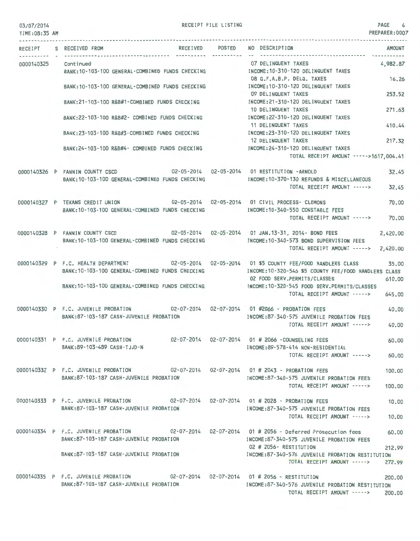#### 03/07/2014 TIME:08:35 AM

RECEIPT FILE LISTING 4

PREPARER:0007

|                    | RECEIPT S RECEIVED FROM                                                                                                                             | RECEIVED POSTED NO DESCRIPTION<br><b>AMOUNT</b>                                                   |
|--------------------|-----------------------------------------------------------------------------------------------------------------------------------------------------|---------------------------------------------------------------------------------------------------|
| ----------- - ---- | 0000140325 Continued<br>BANK:10-103-100 GENERAL-COMBINED FUNDS CHECKING MANUSING MOONE:10-310-120 DELINQUENT TAXES                                  | 07 DELINQUENT TAXES<br>4,982.87                                                                   |
|                    | BANK:10-103-100 GENERAL-COMBINED FUNDS CHECKING MOTHER INCOME:10-310-120 DELINQUENT TAXES                                                           | 08 G.F.A.B.P. DELQ. TAXES<br>16.26                                                                |
|                    | BANK:21-103-100 R&B#1-COMBINED FUNDS CHECKING MALL INCOME:21-310-120 DELINQUENT TAXES                                                               | 09 DELINQUENT TAXES<br>253.52                                                                     |
|                    |                                                                                                                                                     | 271.63<br>10 DELINQUENT TAXES                                                                     |
|                    | BANK:22-103-100 R&B#2- COMBINED FUNDS CHECKING                                                                                                      | INCOME:22-310-120 DELINQUENT TAXES<br>11 DELINQUENT TAXES<br>410.44                               |
|                    | BANK:23-103-100 R&B#3-COMBINED FUNDS CHECKING                                                                                                       | INCOME:23-310-120 DELINQUENT TAXES<br>12 DELINQUENT TAXES<br>217.32                               |
|                    | BANK:24-103-100 R&B#4- COMBINED FUNDS CHECKING MODE:24-310-120 DELINQUENT TAXES                                                                     | TOTAL RECEIPT AMOUNT ----->1617,004.41                                                            |
|                    | 0000140326 P FANNIN COUNTY CSCD 02-05-2014 02-05-2014 01 RESTITUTION -ARNOLD                                                                        | 32.45                                                                                             |
|                    | BANK: 10-103-100 GENERAL-COMBINED FUNDS CHECKING                                                                                                    | INCOME: 10-370-130 REFUNDS & MISCELLANEOUS<br>TOTAL RECEIPT AMOUNT -----><br>32.45                |
|                    | 0000140327 P TEXANS CREDIT UNION 02-05-2014 02-05-2014 01 CIVIL PROCESS- CLEMONS                                                                    | 70.00                                                                                             |
|                    | BANK:10-103-100 GENERAL-COMBINED FUNDS CHECKING MANUSIC INCOME:10-340-550 CONSTABLE FEES                                                            | TOTAL RECEIPT AMOUNT -----><br>70.00                                                              |
|                    | 0000140328 P FANNIN COUNTY CSCD 02-05-2014 02-05-2014 01 JAN.13-31, 2014- BOND FEES                                                                 | 2,420.00                                                                                          |
|                    | BANK:10-103-100 GENERAL-COMBINED FUNDS CHECKING                                                                                                     | INCOME:10-340-573 BOND SUPERVISION FEES<br>TOTAL RECEIPT AMOUNT -----><br>2,420.00                |
|                    | 0000140329 P F.C. HEALTH DEPARTMENT 02-05-2014 02-05-2014 01 \$5 COUNTY FEE/FOOD HANDLERS CLASS<br>BANK: 10-103-100 GENERAL-COMBINED FUNDS CHECKING | 35,00<br>INCOME:10-320-546 \$5 COUNTY FEE/FOOD HANDLERS CLASS                                     |
|                    | BANK:10-103-100 GENERAL-COMBINED FUNDS CHECKING MODE:10-320-545 FOOD SERV.PERMITS/CLASSES                                                           | 02 FOOD SERV.PERMITS/CLASSES<br>610,00                                                            |
|                    |                                                                                                                                                     | TOTAL RECEIPT AMOUNT -----><br>645.00                                                             |
|                    | 0000140330 P F.C. JUVENILE PROBATION 02-07-2014 02-07-2014 01 #2066 - PROBATION FEES<br>BANK:87-103-187 CASH-JUVENILE PROBATION                     | 40.00<br>INCOME:87-340-575 JUVENILE PROBATION FEES                                                |
|                    |                                                                                                                                                     | TOTAL RECEIPT AMOUNT -----><br>40.00                                                              |
|                    | 0000140331 P F.C. JUVENILE PROBATION<br>BANK:89-103-489 CASH-TJJD-N                                                                                 | 02-07-2014  02-07-2014  01 # 2066 -COUNSELING FEES<br>60.00<br>INCOME: 89-578-414 NON-RESIDENTIAL |
|                    |                                                                                                                                                     | TOTAL RECEIPT AMOUNT -----><br>60.00                                                              |
|                    | 0000140332 P F.C. JUVENILE PROBATION 02-07-2014 02-07-2014 01 # 2043 - PROBATION FEES                                                               | 100,00                                                                                            |
|                    | BANK:87-103-187 CASH-JUVENILE PROBATION                                                                                                             | INCOME:87-340-575 JUVENILE PROBATION FEES<br>TOTAL RECEIPT AMOUNT -----><br>100,00                |
|                    | 0000140333 P F.C. JUVENILE PROBATION 02-07-2014 02-07-2014 01 # 2028 - PROBATION FEES                                                               | 10,00                                                                                             |
|                    | BANK: 87-103-187 CASH-JUVENILE PROBATION                                                                                                            | INCOME:87-340-575 JUVENILE PROBATION FEES<br>TOTAL RECEIPT AMOUNT -----><br>10.00                 |
|                    | 0000140334 P F.C. JUVENILE PROBATION 02-07-2014 02-07-2014 01 # 2056 - Deferred Prosecution fees<br>BANK:87-103-187 CASH-JUVENILE PROBATION         | 60.00<br>INCOME:87-340-575 JUVENILE PROBATION FEES                                                |
|                    |                                                                                                                                                     | 02 # 2056- RESTITUTION<br>212.99                                                                  |
|                    | BANK:87-103-187 CASH-JUVENILE PROBATION                                                                                                             | INCOME:87-340-576 JUVENILE PROBATION RESTITUTION<br>TOTAL RECEIPT AMOUNT -----><br>272.99         |
|                    | 0000140335 P F.C. JUVENILE PROBATION 02-07-2014 02-07-2014 01 # 2056 - RESTITUTION                                                                  | 200.00                                                                                            |
|                    | BANK:87-103-187 CASH-JUVENILE PROBATION                                                                                                             | INCOME:87-340-576 JUVENILE PROBATION RESTITUTION<br>TOTAL RECEIPT AMOUNT -----><br>200,00         |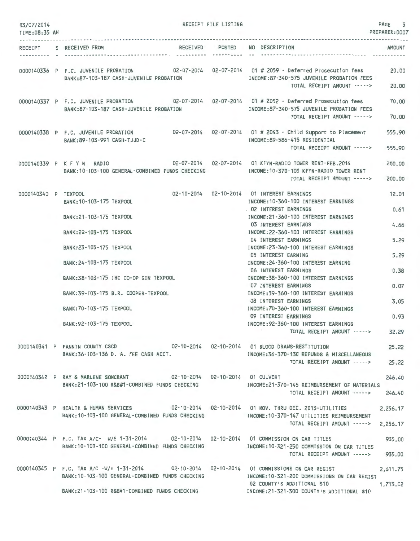| 03/07/2014<br>TIME: 08:35 AM |                                                                                                                                                                                                   | RECEIPT FILE LISTING |                                                                                                                          | PAGE<br>5<br>PREPARER: 0007 |
|------------------------------|---------------------------------------------------------------------------------------------------------------------------------------------------------------------------------------------------|----------------------|--------------------------------------------------------------------------------------------------------------------------|-----------------------------|
|                              | RECEIPT S RECEIVED FROM                                                                                                                                                                           | RECEIVED POSTED      | NO DESCRIPTION                                                                                                           | AMOUNT                      |
|                              | 0000140336 P F.C. JUVENILE PROBATION 02-07-2014 02-07-2014 01 # 2059 - Deferred Prosecution fees<br>BANK:87-103-187 CASH-JUVENILE PROBATION                                                       |                      | INCOME:87-340-575 JUVENILE PROBATION FEES<br>TOTAL RECEIPT AMOUNT ----->                                                 | 20.00<br>20,00              |
|                              | 0000140337 P F.C. JUVENILE PROBATION 02-07-2014 02-07-2014 01 # 2052 - Deferred Prosecution fees<br>BANK:87-103-187 CASH-JUVENILE PROBATION                                                       |                      | INCOME:87-340-575 JUVENILE PROBATION FEES<br>TOTAL RECEIPT AMOUNT ----->                                                 | 70.00<br>70,00              |
|                              | 0000140338 P F.C. JUVENILE PROBATION<br>BANK: 89-103-991 CASH-TJJD-C                                                                                                                              |                      | INCOME: 89-586-415 RESIDENTIAL                                                                                           | 555.90                      |
|                              |                                                                                                                                                                                                   |                      | TOTAL RECEIPT AMOUNT ----->                                                                                              | 555.90                      |
|                              | 0000140339 P K F Y N RADIO 402-07-2014 02-07-2014 01 KFYN-RADIO TOWER RENT-FEB.2014<br>BANK: 10-103-100 GENERAL-COMBINED FUNDS CHECKING                                                           |                      | INCOME:10-370-100 KFYN-RADIO TOWER RENT<br>TOTAL RECEIPT AMOUNT ----->                                                   | 200.00<br>200,00            |
| 0000140340 P TEXPOOL         | BANK: 10-103-175 TEXPOOL                                                                                                                                                                          |                      | 02-10-2014  02-10-2014  01 INTEREST EARNINGS<br>INCOME: 10-360-100 INTEREST EARNINGS                                     | 12.01                       |
|                              | BANK: 21-103-175 TEXPOOL                                                                                                                                                                          |                      | 02 INTEREST EARNINGS<br>INCOME: 21-360-100 INTEREST EARNINGS                                                             | 0.61                        |
|                              | BANK: 22-103-175 TEXPOOL                                                                                                                                                                          |                      | 03 INTEREST EARNINGS<br>INCOME: 22-360-100 INTEREST EARNINGS<br>04 INTEREST EARNINGS                                     | 4.66<br>5.29                |
|                              | BANK: 23-103-175 TEXPOOL                                                                                                                                                                          |                      | INCOME: 23-360-100 INTEREST EARNINGS<br>05 INTEREST EARNING                                                              | 5.29                        |
|                              | BANK: 24-103-175 TEXPOOL                                                                                                                                                                          |                      | INCOME: 24-360-100 INTEREST EARNING<br>06 INTEREST EARNINGS                                                              | 0.38                        |
|                              | BANK:38-103-175 IHC CO-OP GIN TEXPOOL                                                                                                                                                             |                      | INCOME: 38-360-100 INTEREST EARNINGS<br><b>07 INTEREST EARNINGS</b>                                                      | 0.07                        |
|                              | BANK: 39-103-175 B.R. COOPER-TEXPOOL                                                                                                                                                              |                      | INCOME: 39-360-100 INTEREST EARNINGS<br><b>08 INTEREST EARNINGS</b>                                                      | 3.05                        |
|                              | BANK: 70-103-175 TEXPOOL<br>BANK: 92-103-175 TEXPOOL                                                                                                                                              |                      | INCOME: 70-360-100 INTEREST EARNINGS<br>09 INTEREST EARNINGS<br>INCOME: 92-360-100 INTEREST EARNINGS                     | 0.93                        |
|                              |                                                                                                                                                                                                   |                      | TOTAL RECEIPT AMOUNT ----->                                                                                              | 32.29                       |
|                              | 0000140341 P FANNIN COUNTY CSCD 02-10-2014 02-10-2014 01 BLOOD DRAWS-RESTITUTION<br>BANK:36-103-136 D. A. FEE CASH ACCT. THE RESOLUTION OF THE REFUNDS & MISCELLANEOUS                            |                      |                                                                                                                          | 25.22                       |
|                              |                                                                                                                                                                                                   |                      | TOTAL RECEIPT AMOUNT -----> 25.22                                                                                        |                             |
|                              | 0000140342 P RAY & MARLENE SONCRANT 02-10-2014 02-10-2014 01 CULVERT<br>BANK: 21-103-100 R&B#1-COMBINED FUNDS CHECKING                                                                            |                      | INCOME:21-370-145 REIMBURSEMENT OF MATERIALS<br>TOTAL RECEIPT AMOUNT ----->                                              | 246.40<br>246.40            |
|                              | 0000140343 P HEALTH & HUMAN SERVICES 02-10-2014 02-10-2014 01 NOV. THRU DEC. 2013-UTILITIES<br>BANK: 10-103-100 GENERAL-COMBINED FUNDS CHECKING                                                   |                      | INCOME:10-370-147 UTILITIES REIMBURSEMENT                                                                                | 2,256.17                    |
|                              |                                                                                                                                                                                                   |                      | TOTAL RECEIPT AMOUNT -----> 2,256.17                                                                                     |                             |
|                              | 0000140344 P F.C. TAX A/C- W/E 1-31-2014 02-10-2014 02-10-2014 01 COMMISSION ON CAR TITLES<br>BANK:10-103-100 GENERAL-COMBINED FUNDS CHECKING MANUSING INCOME:10-321-250 COMMISSION ON CAR TITLES |                      | TOTAL RECEIPT AMOUNT -----> 935.00                                                                                       | 935.00                      |
|                              | 0000140345 P F.C. TAX A/C -W/E 1-31-2014 02-10-2014 02-10-2014 01 COMMISSIONS ON CAR REGIST                                                                                                       |                      |                                                                                                                          | 2,611.75                    |
|                              | BANK:10-103-100 GENERAL-COMBINED FUNDS CHECKING<br>BANK:21-103-100 R&B#1-COMBINED FUNDS CHECKING                                                                                                  |                      | INCOME:10-321-200 COMMISSIONS ON CAR REGIST<br>02 COUNTY'S ADDITIONAL \$10<br>INCOME:21-321-300 COUNTY'S ADDITIONAL \$10 | 1,713.02                    |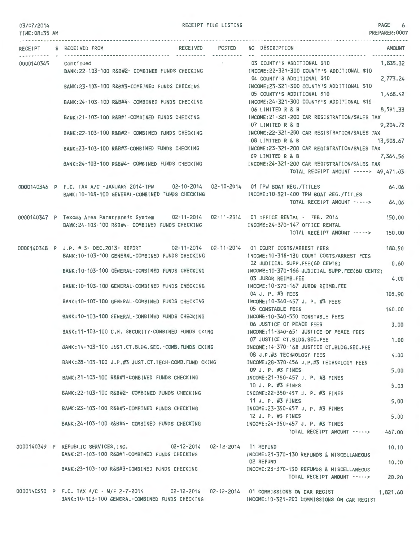RECEIPT FILE LISTING

| TIME: 08:35 AM |                                                                                                                                                                                   | PREPARER:0007                                                                                                          |
|----------------|-----------------------------------------------------------------------------------------------------------------------------------------------------------------------------------|------------------------------------------------------------------------------------------------------------------------|
|                | RECEIVED POSTED NO DESCRIPTION<br>RECEIPT S RECEIVED FROM                                                                                                                         | AMOUNT                                                                                                                 |
|                | 0000140345 Continued<br>BANK:22-103-100 R&B#2- COMBINED FUNDS CHECKING MODE:22-321-300 COUNTY'S ADDITIONAL \$10                                                                   | 03 COUNTY'S ADDITIONAL \$10<br>1,835.32                                                                                |
|                | BANK:23-103-100 R&B#3-COMBINED FUNDS CHECKING                                                                                                                                     | 2,773.24<br>04 COUNTY'S ADDITIONAL \$10<br>INCOME:23-321-300 COUNTY'S ADDITIONAL \$10                                  |
|                | BANK: 24-103-100 R&B#4- COMBINED FUNDS CHECKING                                                                                                                                   | 05 COUNTY'S ADDITIONAL \$10<br>1,468.42<br>INCOME: 24-321-300 COUNTY'S ADDITIONAL \$10<br>06 LIMITED R & B<br>8,591,33 |
|                | BANK:21-103-100 R&B#1-COMBINED FUNDS CHECKING                                                                                                                                     | INCOME: 21-321-200 CAR REGISTRATION/SALES TAX<br>9,204.72<br>07 LIMITED R & B                                          |
|                | BANK:22-103-100 R&B#2- COMBINED FUNDS CHECKING                                                                                                                                    | INCOME: 22-321-200 CAR REGISTRATION/SALES TAX<br>08 LIMITED R & B<br>13,908.67                                         |
|                | BANK:23-103-100 R&B#3-COMBINED FUNDS CHECKING                                                                                                                                     | INCOME:23-321-200 CAR REGISTRATION/SALES TAX<br>7,364.56<br>09 LIMITED R & B                                           |
|                | BANK: 24-103-100 R&B#4- COMBINED FUNDS CHECKING                                                                                                                                   | INCOME:24-321-200 CAR REGISTRATION/SALES TAX<br>TOTAL RECEIPT AMOUNT -----> 49,471.03                                  |
|                | 0000140346 P F.C. TAX A/C -JANUARY 2014-TPW 02-10-2014 02-10-2014 01 TPW BOAT REG./TITLES<br>BANK:10-103-100 GENERAL-COMBINED FUNDS CHECKING MODE:10-321-400 TPW BOAT REG./TITLES | 64.06<br>64.06<br>TOTAL RECEIPT AMOUNT ----->                                                                          |
|                |                                                                                                                                                                                   | 150.00                                                                                                                 |
|                | BANK: 24-103-100 R&B#4- COMBINED FUNDS CHECKING                                                                                                                                   | INCOME: 24-370-147 OFFICE RENTAL<br>TOTAL RECEIPT AMOUNT -----><br>150,00                                              |
|                | 0000140348 P J.P. # 3- DEC.2013- REPORT 02-11-2014 02-11-2014 01 COURT COSTS/ARREST FEES<br>BANK: 10-103-100 GENERAL-COMBINED FUNDS CHECKING                                      | 188,50<br>INCOME: 10-318-130 COURT COSTS/ARREST FEES                                                                   |
|                | BANK:10-103-100 GENERAL-COMBINED FUNDS CHECKING MANUSCOME:10-370-166 JUDICIAL SUPP.FEE(60 CENTS)                                                                                  | 02 JUDICIAL SUPP.FEE(60 CENTS)<br>0.60                                                                                 |
|                | BANK:10-103-100 GENERAL-COMBINED FUNDS CHECKING NORTH INCOME:10-370-167 JUROR REIMB.FEE                                                                                           | 03 JUROR REIMB.FEE<br>4.00                                                                                             |
|                | BANK: 10-103-100 GENERAL-COMBINED FUNDS CHECKING                                                                                                                                  | 04 J. P. #3 FEES<br>105.90<br>INCOME:10-340-457 J. P. #3 FEES                                                          |
|                | BANK: 10-103-100 GENERAL-COMBINED FUNDS CHECKING                                                                                                                                  | 05 CONSTABLE FEES<br>140.00<br>INCOME:10-340-550 CONSTABLE FEES                                                        |
|                | BANK:11-103-100 C.H. SECURITY-COMBINED FUNDS CKING                                                                                                                                | 06 JUSTICE OF PEACE FEES<br>3.00<br>INCOME:11-340-651 JUSTICE OF PEACE FEES                                            |
|                | BANK: 14-103-100 JUST.CT.BLDG.SEC.-COMB.FUNDS CKING                                                                                                                               | 07 JUSTICE CT.BLDG.SEC.FEE<br>1.00<br>INCOME: 14-370-168 JUSTICE CT.BLDG.SEC.FEE<br>08 J.P.#3 TECHNOLOGY FEES<br>4.00  |
|                | BANK: 28-103-100 J.P.#3 JUST.CT. TECH-COMB. FUND CKING                                                                                                                            | INCOME: 28-370-456 J.P.#3 TECHNOLOGY FEES<br>09 J. P. #3 FINES<br>5.00                                                 |
|                | BANK: 21-103-100 R&B#1-COMBINED FUNDS CHECKING                                                                                                                                    | INCOME: 21-350-457 J. P. #3 FINES<br>10 J. P. #3 FINES<br>5.00                                                         |
|                | BANK: 22-103-100 R&B#2- COMBINED FUNDS CHECKING                                                                                                                                   | INCOME: 22-350-457 J. P. #3 FINES<br>11 J. P. #3 FINES<br>5.00                                                         |
|                | BANK: 23-103-100 R&B#3-COMBINED FUNDS CHECKING                                                                                                                                    | INCOME: 23-350-457 J. P. #3 FINES<br>12 J. P. #3 FINES<br>5.00                                                         |
|                | BANK: 24-103-100 R&B#4- COMBINED FUNDS CHECKING                                                                                                                                   | INCOME: 24-350-457 J. P. #3 FINES<br>TOTAL RECEIPT AMOUNT -----><br>467.00                                             |
|                | 02-12-2014  02-12-2014  01 REFUND<br>0000140349 P REPUBLIC SERVICES, INC.<br>BANK:21-103-100 R&B#1-COMBINED FUNDS CHECKING                                                        | 10.10<br>INCOME: 21-370-130 REFUNDS & MISCELLANEOUS                                                                    |
|                | BANK:23-103-100 R&B#3-COMBINED FUNDS CHECKING                                                                                                                                     | 02 REFUND<br>10.10<br>INCOME:23-370-130 REFUNDS & MISCELLANEOUS                                                        |
|                |                                                                                                                                                                                   | TOTAL RECEIPT AMOUNT -----><br>20,20                                                                                   |
|                | 0000140350 P F.C. TAX A/C - W/E 2-7-2014                                                                                                                                          | 1,821.60                                                                                                               |

BANK:10-103-100 GENERAL-COMBINED FUNDS CHECKING INCOME:10-321-200 COMMISSIONS ON CAR REGIST

1,821.60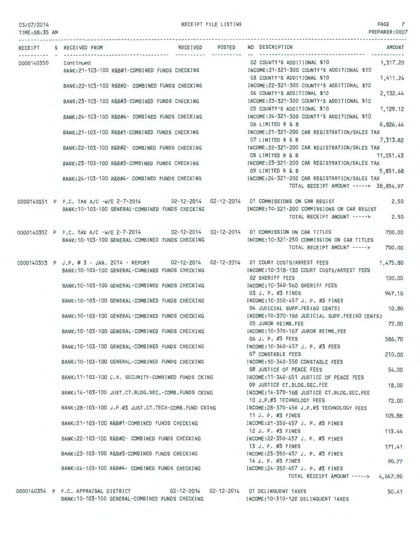RECEIPT FILE LISTING **PAGE** 7

PREPARER:0007

| TIME:08:35 AM        |                                                                                                                                                                                        | PREPARER:0007                                                                                                         |
|----------------------|----------------------------------------------------------------------------------------------------------------------------------------------------------------------------------------|-----------------------------------------------------------------------------------------------------------------------|
|                      | RECEIPT S RECEIVED FROM                                                                                                                                                                | RECEIVED POSTED NO DESCRIPTION<br><b>AMOUNT</b>                                                                       |
| 0000140350 Continued | BANK:21-103-100 R&B#1-COMBINED FUNDS CHECKING MODE:21-321-300 COUNTY'S ADDITIONAL \$10                                                                                                 | 02 COUNTY'S ADDITIONAL \$10<br>1,317.20                                                                               |
|                      | BANK:22-103-100 R&B#2- COMBINED FUNDS CHECKING MANUSIC MECOME:22-321-300 COUNTY'S ADDITIONAL \$10                                                                                      | 03 COUNTY'S ADDITIONAL \$10<br>1,411.24                                                                               |
|                      | BANK:23-103-100 R&B#3-COMBINED FUNDS CHECKING                                                                                                                                          | 04 COUNTY'S ADDITIONAL \$10<br>2,132.44<br>INCOME: 23-321-300 COUNTY'S ADDITIONAL \$10<br>05 COUNTY'S ADDITIONAL \$10 |
|                      | BANK:24-103-100 R&B#4- COMBINED FUNDS CHECKING                                                                                                                                         | 1,129.12<br>INCOME:24-321-300 COUNTY'S ADDITIONAL \$10<br>06 LIMITED R & B<br>6,826.44                                |
|                      | BANK:21-103-100 R&B#1-COMBINED FUNDS CHECKING MANUSIC INCOME:21-321-200 CAR REGISTRATION/SALES TAX                                                                                     | 07 LIMITED R & B<br>7,313.82                                                                                          |
|                      | BANK:22-103-100 R&B#2- COMBINED FUNDS CHECKING                                                                                                                                         | INCOME:22-321-200 CAR REGISTRATION/SALES TAX<br>08 LIMITED R & B<br>11,051.43                                         |
|                      | BANK:23-103-100 R&B#3-COMBINED FUNDS CHECKING                                                                                                                                          | INCOME:23-321-200 CAR REGISTRATION/SALES TAX<br>09 LIMITED R & B<br>5,851.68                                          |
|                      | BANK:24-103-100 R&B#4- COMBINED FUNDS CHECKING MANUS INCOME:24-321-200 CAR REGISTRATION/SALES TAX                                                                                      | TOTAL RECEIPT AMOUNT -----> 38,854.97                                                                                 |
|                      | 0000140351 P F.C. TAX A/C -W/E 2-7-2014 02-12-2014 02-12-2014 01 COMMISSIONS ON CAR REGIST<br>BANK: 10-103-100 GENERAL-COMBINED FUNDS CHECKING                                         | 2.50<br>INCOME:10-321-200 COMMISSIONS ON CAR REGIST                                                                   |
|                      |                                                                                                                                                                                        | TOTAL RECEIPT AMOUNT -----> 2.50                                                                                      |
|                      | 0000140352 P F.C. TAX A/C -W/E 2-7-2014 02-12-2014 02-12-2014 01 COMMISSION ON CAR TITLES<br>BANK:10-103-100 GENERAL-COMBINED FUNDS CHECKING MODE:10-321-250 COMMISSION ON CAR TITLES  | 700.00                                                                                                                |
|                      |                                                                                                                                                                                        | TOTAL RECEIPT AMOUNT -----><br>700.00                                                                                 |
|                      | 0000140353 P J.P. # 3 - JAN. 2014 - REPORT 02-12-2014 02-12-2014 01 COURT COSTS/ARREST FEES<br>BANK:10-103-100 GENERAL-COMBINED FUNDS CHECKING MODE:10-318-130 COURT COSTS/ARREST FEES | 1,475.80                                                                                                              |
|                      | BANK: 10-103-100 GENERAL-COMBINED FUNDS CHECKING                                                                                                                                       | 02 SHERIFF FEES<br>100.00<br>INCOME:10-340-560 SHERIFF FEES                                                           |
|                      | BANK:10-103-100 GENERAL-COMBINED FUNDS CHECKING                                                                                                                                        | 03 J. P. #3 FINES<br>967.10<br>INCOME: 10-350-457 J. P. #3 FINES<br>04 JUDICIAL SUPP.FEE(60 CENTS)<br>10,80           |
|                      | BANK:10-103-100 GENERAL-COMBINED FUNDS CHECKING MANUSIC RESONCE:10-370-166 JUDICIAL SUPP.FEE(60 CENTS)                                                                                 | 05 JUROR REIMB.FEE<br>72.00                                                                                           |
|                      | BANK: 10-103-100 GENERAL-COMBINED FUNDS CHECKING                                                                                                                                       | INCOME:10-370-167 JUROR REIMB.FEE<br>06 J. P. #3 FEES<br>586,70                                                       |
|                      | BANK: 10-103-100 GENERAL-COMBINED FUNDS CHECKING                                                                                                                                       | INCOME: 10-340-457 J. P. #3 FEES<br>07 CONSTABLE FEES<br>210.00                                                       |
|                      | BANK: 10-103-100 GENERAL-COMBINED FUNDS CHECKING                                                                                                                                       | INCOME: 10-340-550 CONSTABLE FEES<br>08 JUSTICE OF PEACE FEES<br>54.00                                                |
|                      | BANK: 11-103-100 C.H. SECURITY-COMBINED FUNDS CKING                                                                                                                                    | INCOME:11-340-651 JUSTICE OF PEACE FEES<br>09 JUSTICE CT.BLDG.SEC.FEE<br>18.00                                        |
|                      | BANK: 14-103-100 JUST.CT.BLDG.SEC.-COMB.FUNDS CKING                                                                                                                                    | INCOME: 14-370-168 JUSTICE CT.BLDG.SEC.FEE<br>10 J.P.#3 TECHNOLOGY FEES<br>72.00                                      |
|                      | BANK:28-103-100 J.P.#3 JUST.CT.TECH-COMB.FUND CKING                                                                                                                                    | INCOME: 28-370-456 J.P.#3 TECHNOLOGY FEES<br>11 J. P. #3 FINES<br>105.88                                              |
|                      | BANK:21-103-100 R&B#1-COMBINED FUNDS CHECKING                                                                                                                                          | INCOME: 21-350-457 J. P. #3 FINES<br>12 J. P. #3 FINES<br>113.44                                                      |
|                      | BANK:22-103-100 R&B#2- COMBINED FUNDS CHECKING                                                                                                                                         | INCOME: 22-350-457 J. P. #3 FINES<br>13 J. P. #3 FINES<br>171.41                                                      |
|                      | BANK:23-103-100 R&B#3-COMBINED FUNDS CHECKING                                                                                                                                          | INCOME: 23-350-457 J. P. #3 FINES<br>14 J. P. #3 FINES<br>90.77                                                       |
|                      | BANK:24-103-100 R&B#4- COMBINED FUNDS CHECKING                                                                                                                                         | INCOME: 24-350-457 J. P. #3 FINES<br>TOTAL RECEIPT AMOUNT -----> 4,047.90                                             |
|                      |                                                                                                                                                                                        |                                                                                                                       |

0000140354 P F.C. APPRAISAL DISTRICT 02-12-2014 02-12-2014 01 DELINQUENT TAXES BANK:10- 103-100 GENERAL-COMBINED FUNDS CHECKING INCOME:10-310-120 DELINQUENT TAXES

50.41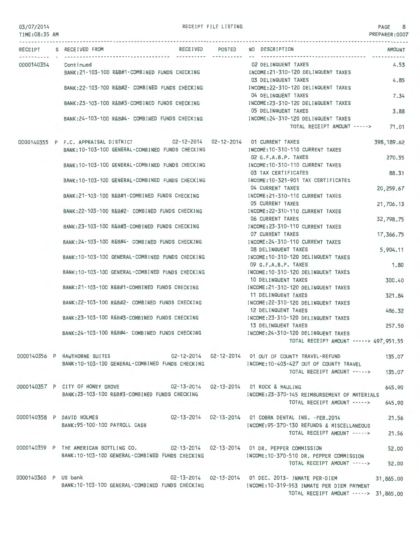RECEIPT FILE LISTING **EXECUTE:** 8

PREPARER:0007

TIME:08:35 AM RECEIPT S RECEIVED FROM RECEIVED POSTED NO DESCRIPTION AMOUNT 0000140354 Continued BANK:21-103-100 R&B#1-COMBINED FUNDS CHECKING BANK:22-103-100 R&B#2- COMBINED FUNDS CHECKING BANK:23-103-100 R&B#3-COMBINED FUNDS CHECKING BANK:24-103-100 R&B#4- COMBINED FUNDS CHECKING INCOME:24-310-120 DELINQUENT TAXES 0000140355 P F.C. APPRAISAL DISTRICT 02-12-2014 02-12-2014 01 CURRENT TAXES BANK:10-103-100 GENERAL-COMBINED FUNDS CHECKING BANK:10-103-100 GENERAL-COMBINED FUNDS CHECKING BANK:10-103-100 GENERAL-COMBINED FUNDS CHECKING BANK:21-103-100 R&B#1-COMBINED FUNDS CHECKING BANK: 22-103-100 R&B#2- COMBINED FUNDS CHECKING BANK:23-103-100 R&B#3-COMBINED FUNDS CHECKING BANK:24-103-100 R&B#4- COMBINED FUNDS CHECKING BANK:10-103-100 GENERAL-COMBINED FUNDS CHECKING BANK:10- 103-100 GENERAL-COMBINED FUNDS CHECKING BANK:21-103-100 R&B#1-COMBINED FUNDS CHECKING BANK:22-103-100 R&B#2- COMBINED FUNDS CHECKING BANK:23-103-100 R&B#3-COMBINED FUNDS CHECKING BANK:24- 103-100 R&B#4- COMBINED FUNDS CHECKING 0000140356 P HAWTHORNE SUITES BANK:10- 103-100 GENERAL -COMBINED FUNDS CHECKING 02 DELINQUENT TAXES INCOME:21-310-120 DELINQUENT TAXES 03 DELINQUENT TAXES INCOME:22-310-120 DELINQUENT TAXES 04 DELINQUENT TAXES INCOME:23-310-120 DELINQUENT TAXES 05 DELINQUENT TAXES TOTAL RECEIPT AMOUNT -----> 71.01 INCOME:10-310·110 CURRENT TAXES D2 G.F.A.B.P. TAXES INCOME:10-310-110 CURRENT TAXES 03 TAX CERTIFICATES INCOME:10-321-901 TAX CERTIFICATES 04 CURRENT TAXES INCOME:21-310-110 CURRENT TAXES 05 CURRENT TAXES INCOME:22-310-110 CURRENT TAXES 06 CURRENT TAXES INCOME:23-310-110 CURRENT TAXES 07 CURRENT TAXES INCOME:24-310-110 CURRENT TAXES 08 DELINQUENT TAXES INCOME:10-310-120 DELINQUENT TAXES 09 G.F.A.B.P. TAXES INCOME:10-310-120 DELINQUENT TAXES 10 DELINQUENT TAXES INCOME:21-310-120 DELINQUENT TAXES 11 DELINQUENT TAXES INCOME:22-310-120 DELINQUENT TAXES 12 DELINQUENT TAXES INCOME:23-310-120 DELINQUENT TAXES 4.53 4.85 7.34 3.88 398,189.62 270.35 88.31 20,259.67 21,706.13 32,798.75 17,366.75 5,904.1 1 1.80 300.40 321.84 486.32 13 DELINQUENT TAXES 257.50 INCOME:24-310-120 DELINQUENT TAXES TOTAL RECEIPT AMOUNT-----> 497,951.55 02-12-2014 02-12-2014 01 OUT OF COUNTY TRAVEL-REFUND INCOME:10-403-427 OUT OF COUNTY TRAVEL TOTAL RECEIPT AMOUNT -----> 135.07 135.07 OOO0140357 P CITY OF HONEY GROVE 02-13-2014 02-13-2014 02-13-2014 01 ROCK & HAULING 645.90<br>BANK:23-103-100 R&B#3-COMBINED FUNDS CHECKING INCOME:23-370-145 REIMBURSEMENT OF MATERIALS INCOME: 23-370-145 REIMBURSEMENT OF MATERIALS TOTAL RECEIPT AMOUNT ---·-> 645.90 0000140358 P DAVID HOLMES BANK:95-100-100 PAYROLL CASH 02-13-2014 02-13-2014 01 COBRA DENTAL INS. -FEB.2014 INCOME:95-370-130 REFUNDS & MISCELLANEOUS 21.56 TOTAL RECEIPT AMOUNT ----·> 21.56 0000140359 P THE AMERICAN BOTTLING CO.  $02-13-2014$  02-13-2014 01 DR. PEPPER COMMISSION 52.00<br>BANK:10-103-100 GENERAL-COMBINED FUNDS CHECKING INCOME:10-370-510 DR. PEPPER COMMISSION BANK:10-103-100 GENERAL-COMBINED FUNDS CHECKING TOTAL RECEIPT AMOUNT --·--> 52.00 0000140360 P US bank 65.00 02-13-2014 02-13-2014 01 DEC. 2013- INMATE PER-DIEM 31,865.00 BANK:10-103-100 GENERAL-COMBINED FUNDS CHECKING INCOME:10-319-553 INMATE PER DIEM PAYMENT TOTAL RECEIPT AMOUNT -----> 31,865.00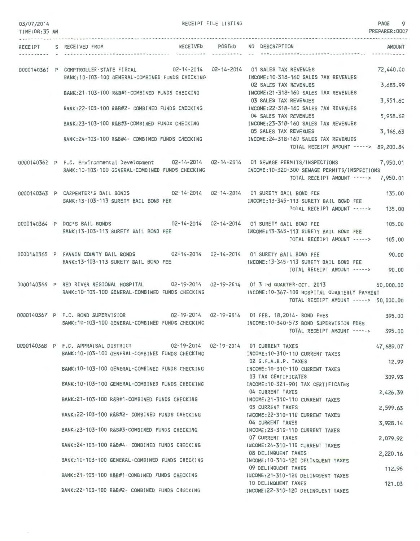| 03/07/2014<br>TIME:08:35 AM |                                                                                                                                                     | RECEIPT FILE LISTING |                                                                                            | PAGE<br>9<br>PREPARER: 0007 |
|-----------------------------|-----------------------------------------------------------------------------------------------------------------------------------------------------|----------------------|--------------------------------------------------------------------------------------------|-----------------------------|
|                             | RECEIPT S RECEIVED FROM                                                                                                                             |                      | RECEIVED POSTED NO DESCRIPTION                                                             | AMOUNT                      |
|                             | 0000140361 P COMPTROLLER-STATE FISCAL 02-14-2014 02-14-2014 01 SALES TAX REVENUES                                                                   | .                    |                                                                                            | 72,440.00                   |
|                             | BANK: 10-103-100 GENERAL-COMBINED FUNDS CHECKING                                                                                                    |                      | INCOME: 10-318-160 SALES TAX REVENUES<br>02 SALES TAX REVENUES                             | 3,683.99                    |
|                             | BANK:21-103-100 R&B#1-COMBINED FUNDS CHECKING                                                                                                       |                      | INCOME:21-318-160 SALES TAX REVENUES<br>03 SALES TAX REVENUES                              | 3,951.60                    |
|                             | BANK:22-103-100 R&B#2- COMBINED FUNDS CHECKING                                                                                                      |                      | INCOME:22-318-160 SALES TAX REVENUES<br>04 SALES TAX REVENUES                              | 5,958.62                    |
|                             | BANK: 23-103-100 R&B#3-COMBINED FUNDS CHECKING<br>BANK:24-103-100 R&B#4- COMBINED FUNDS CHECKING                                                    |                      | INCOME: 23-318-160 SALES TAX REVENUES<br>05 SALES TAX REVENUES                             | 3, 166.63                   |
|                             |                                                                                                                                                     |                      | INCOME: 24-318-160 SALES TAX REVENUES<br>TOTAL RECEIPT AMOUNT ----->                       | 89,200.84                   |
|                             | 0000140362 P F.C. Environmental Development 02-14-2014 02-14-2014 01 SEWAGE PERMITS/INSPECTIONS<br>BANK: 10-103-100 GENERAL-COMBINED FUNDS CHECKING |                      | INCOME:10-320-300 SEWAGE PERMITS/INSPECTIONS<br>TOTAL RECEIPT AMOUNT ----->                | 7,950.01<br>7,950.01        |
|                             | 0000140363 P CARPENTER'S BAIL BONDS 02-14-2014 02-14-2014 01 SURETY BAIL BOND FEE<br>BANK: 13-103-113 SURETY BAIL BOND FEE                          |                      | INCOME:13-345-113 SURETY BAIL BOND FEE                                                     | 135.00                      |
|                             |                                                                                                                                                     |                      | TOTAL RECEIPT AMOUNT ----->                                                                | 135.00                      |
|                             | 02-14-2014  02-14-2014  01 SURETY BAIL BOND FEE<br>0000140364 P DOC'S BAIL BONDS<br>BANK: 13-103-113 SURETY BAIL BOND FEE                           |                      | INCOME: 13-345-113 SURETY BAIL BOND FEE                                                    | 105.00                      |
|                             |                                                                                                                                                     |                      | TOTAL RECEIPT AMOUNT ----->                                                                | 105,00                      |
|                             | 0000140365 P FANNIN COUNTY BAIL BONDS<br>BANK: 13-103-113 SURETY BAIL BOND FEE                                                                      |                      | 02-14-2014  02-14-2014  01 SURETY BAIL BOND FEE<br>INCOME: 13-345-113 SURETY BAIL BOND FEE | 90.00                       |
|                             |                                                                                                                                                     |                      | TOTAL RECEIPT AMOUNT ----->                                                                | 90.00                       |
|                             | 0000140366 P RED RIVER REGIONAL HOSPITAL 02-19-2014 02-19-2014 01 3 rd QUARTER-OCT. 2013<br>BANK: 10-103-100 GENERAL-COMBINED FUNDS CHECKING        |                      | INCOME:10-367-100 HOSPITAL QUARTERLY PAYMENT<br>TOTAL RECEIPT AMOUNT -----> 50,000.00      | 50,000.00                   |
|                             | 0000140367 P F.C. BOND SUPERVISIOR                                                                                                                  |                      | 02-19-2014  02-19-2014  01 FEB. 18,2014- BOND FEES                                         | 395.00                      |
|                             | BANK: 10-103-100 GENERAL-COMBINED FUNDS CHECKING                                                                                                    |                      | INCOME:10-340-573 BOND SUPERVISION FEES<br>TOTAL RECEIPT AMOUNT ----->                     | 395.00                      |
|                             | 0000140368 P F.C. APPRAISAL DISTRICT 02-19-2014 02-19-2014 01 CURRENT TAXES<br>BANK: 10-103-100 GENERAL-COMBINED FUNDS CHECKING                     |                      | INCOME: 10-310-110 CURRENT TAXES                                                           | 47,689.07                   |
|                             | BANK: 10-103-100 GENERAL-COMBINED FUNDS CHECKING                                                                                                    |                      | 02 G.F.A.B.P. TAXES<br>INCOME: 10-310-110 CURRENT TAXES                                    | 12.99                       |
|                             | BANK: 10-103-100 GENERAL-COMBINED FUNDS CHECKING                                                                                                    |                      | 03 TAX CERTIFICATES<br>INCOME: 10-321-901 TAX CERTIFICATES                                 | 309.93                      |
|                             | BANK:21-103-100 R&B#1-COMBINED FUNDS CHECKING                                                                                                       |                      | 04 CURRENT TAXES<br>INCOME:21-310-110 CURRENT TAXES                                        | 2,426.39                    |
|                             | BANK: 22-103-100 R&B#2- COMBINED FUNDS CHECKING                                                                                                     |                      | 05 CURRENT TAXES<br>INCOME: 22-310-110 CURRENT TAXES                                       | 2,599.63                    |
|                             | BANK:23-103-100 R&B#3-COMBINED FUNDS CHECKING                                                                                                       |                      | 06 CURRENT TAXES<br>INCOME: 23-310-110 CURRENT TAXES                                       | 3,928.14                    |
|                             | BANK:24-103-100 R&B#4- COMBINED FUNDS CHECKING                                                                                                      |                      | 07 CURRENT TAXES<br>INCOME: 24-310-110 CURRENT TAXES                                       | 2,079.92                    |
|                             | BANK:10-103-100 GENERAL-COMBINED FUNDS CHECKING                                                                                                     |                      | 08 DELINQUENT TAXES<br>INCOME: 10-310-120 DELINQUENT TAXES                                 | 2,220.16                    |
|                             | BANK: 21-103-100 R&B#1-COMBINED FUNDS CHECKING                                                                                                      |                      | 09 DELINQUENT TAXES<br>INCOME:21-310-120 DELINQUENT TAXES                                  | 112.96                      |
|                             | BANK:22-103-100 R&B#2- COMBINED FUNDS CHECKING                                                                                                      |                      | 10 DELINQUENT TAXES<br>INCOME:22-310-120 DELINQUENT TAXES                                  | 121.03                      |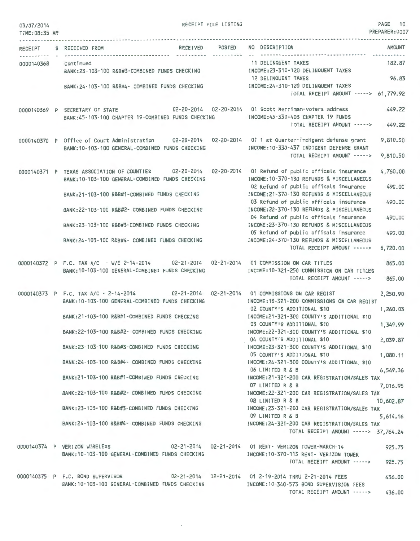| 03/07/2014<br>TIME: 08:35 AM |                                                                                                                                                                                                                                                                                                                                                                                                                                                                                                                                                          | RECEIPT FILE LISTING |                                                                                                                                                                                                                                                                                                                                                                                                                                                                                                                                                                                                                                                                                                       | PAGE 10<br>PREPARER:0007                                                                                  |
|------------------------------|----------------------------------------------------------------------------------------------------------------------------------------------------------------------------------------------------------------------------------------------------------------------------------------------------------------------------------------------------------------------------------------------------------------------------------------------------------------------------------------------------------------------------------------------------------|----------------------|-------------------------------------------------------------------------------------------------------------------------------------------------------------------------------------------------------------------------------------------------------------------------------------------------------------------------------------------------------------------------------------------------------------------------------------------------------------------------------------------------------------------------------------------------------------------------------------------------------------------------------------------------------------------------------------------------------|-----------------------------------------------------------------------------------------------------------|
| RECEIPT                      | RECEIVED POSTED<br>S RECEIVED FROM                                                                                                                                                                                                                                                                                                                                                                                                                                                                                                                       |                      | NO DESCRIPTION                                                                                                                                                                                                                                                                                                                                                                                                                                                                                                                                                                                                                                                                                        | <b>AMOUNT</b>                                                                                             |
| 0000140368                   | Continued<br>BANK: 23-103-100 R&B#3-COMBINED FUNDS CHECKING                                                                                                                                                                                                                                                                                                                                                                                                                                                                                              | ----------           | -------------------------------------<br>11 DELINQUENT TAXES<br>INCOME:23-310-120 DELINQUENT TAXES<br>12 DELINQUENT TAXES                                                                                                                                                                                                                                                                                                                                                                                                                                                                                                                                                                             | 182.87<br>96.83                                                                                           |
|                              | BANK: 24-103-100 R&B#4- COMBINED FUNDS CHECKING                                                                                                                                                                                                                                                                                                                                                                                                                                                                                                          |                      | INCOME: 24-310-120 DELINQUENT TAXES<br>TOTAL RECEIPT AMOUNT -----> 61,779.92                                                                                                                                                                                                                                                                                                                                                                                                                                                                                                                                                                                                                          |                                                                                                           |
|                              | 0000140369 P SECRETARY OF STATE<br>BANK:45-103-100 CHAPTER 19-COMBINED FUNDS CHECKING                                                                                                                                                                                                                                                                                                                                                                                                                                                                    |                      | 02-20-2014   02-20-2014   01 Scott Merriman-voters address<br>INCOME: 45-330-403 CHAPTER 19 FUNDS<br>TOTAL RECEIPT AMOUNT ----->                                                                                                                                                                                                                                                                                                                                                                                                                                                                                                                                                                      | 449.22<br>449.22                                                                                          |
|                              | 0000140370 P Office of Court Administration 02-20-2014 02-20-2014 01 1 st Quarter-indigent defense grant<br>BANK: 10-103-100 GENERAL-COMBINED FUNDS CHECKING                                                                                                                                                                                                                                                                                                                                                                                             |                      | INCOME: 10-330-437 INDIGENT DEFENSE GRANT<br>TOTAL RECEIPT AMOUNT ----->                                                                                                                                                                                                                                                                                                                                                                                                                                                                                                                                                                                                                              | 9,810.50<br>9,810.50                                                                                      |
|                              | 0000140371 P TEXAS ASSOCIATION OF COUNTIES 02-20-2014<br>BANK: 10-103-100 GENERAL-COMBINED FUNDS CHECKING<br>BANK:21-103-100 R&B#1-COMBINED FUNDS CHECKING<br>BANK: 22-103-100 R&B#2- COMBINED FUNDS CHECKING<br>BANK:23-103-100 R&B#3-COMBINED FUNDS CHECKING<br>BANK:24-103-100 R&B#4- COMBINED FUNDS CHECKING                                                                                                                                                                                                                                         |                      | 02-20-2014 01 Refund of public officals insurance<br>INCOME: 10-370-130 REFUNDS & MISCELLANEOUS<br>02 Refund of public officals insurance<br>INCOME: 21-370-130 REFUNDS & MISCELLANEOUS<br>03 Refund of public officals insurance<br>INCOME: 22-370-130 REFUNDS & MISCELLANEOUS<br>04 Refund of public officals insurance<br>INCOME:23-370-130 REFUNDS & MISCELLANEOUS<br>05 Refund of public officals insurance<br>INCOME: 24-370-130 REFUNDS & MISCELLANEOUS<br>TOTAL RECEIPT AMOUNT ----->                                                                                                                                                                                                         | 4,760.00<br>490.00<br>490.00<br>490.00<br>490.00<br>6,720.00                                              |
|                              | 0000140372 P F.C. TAX A/C - W/E 2-14-2014 02-21-2014 02-21-2014 01 COMMISSION ON CAR TITLES<br>BANK: 10-103-100 GENERAL-COMBINED FUNDS CHECKING                                                                                                                                                                                                                                                                                                                                                                                                          |                      | INCOME:10-321-250 COMMISSION ON CAR TITLES<br>TOTAL RECEIPT AMOUNT ----->                                                                                                                                                                                                                                                                                                                                                                                                                                                                                                                                                                                                                             | 865.00<br>865.00                                                                                          |
|                              | 0000140373 P F.C. TAX A/C - 2-14-2014<br>BANK: 10-103-100 GENERAL-COMBINED FUNDS CHECKING<br>BANK:21-103-100 R&B#1-COMBINED FUNDS CHECKING<br>BANK:22-103-100 R&B#2- COMBINED FUNDS CHECKING<br>BANK:23-103-100 R&B#3-COMBINED FUNDS CHECKING<br>BANK:24-103-100 R&B#4- COMBINED FUNDS CHECKING MANUSIC MECOME:24-321-300 COUNTY'S ADDITIONAL \$10<br>BANK:21-103-100 R&B#1-COMBINED FUNDS CHECKING<br>BANK:22-103-100 R&B#2- COMBINED FUNDS CHECKING<br>BANK:23-103-100 R&B#3-COMBINED FUNDS CHECKING<br>BANK:24-103-100 R&B#4- COMBINED FUNDS CHECKING |                      | 02-21-2014  02-21-2014  01 COMMISSIONS ON CAR REGIST<br>INCOME: 10-321-200 COMMISSIONS ON CAR REGIST<br>02 COUNTY'S ADDITIONAL \$10<br>INCOME:21-321-300 COUNTY'S ADDITIONAL \$10<br>03 COUNTY'S ADDITIONAL \$10<br>INCOME:22-321-300 COUNTY'S ADDITIONAL \$10<br>04 COUNTY'S ADDITIONAL \$10<br>INCOME:23-321-300 COUNTY'S ADDITIONAL \$10<br>05 COUNTY'S ADDITIONAL \$10<br>06 LIMITED R & B<br>INCOME: 21-321-200 CAR REGISTRATION/SALES TAX<br>07 LIMITED R & B<br>INCOME: 22-321-200 CAR REGISTRATION/SALES TAX<br>08 LIMITED R & B<br>INCOME:23-321-200 CAR REGISTRATION/SALES TAX<br>09 LIMITED R & B<br>INCOME:24-321-200 CAR REGISTRATION/SALES TAX<br>TOTAL RECEIPT AMOUNT -----> 37,764.24 | 2,250.90<br>1,260.03<br>1,349.99<br>2,039.87<br>1,080.11<br>6,549.36<br>7,016.95<br>10,602.87<br>5,614.16 |
|                              | 0000140374 P VERIZON WIRELESS 602-21-2014 02-21-2014 01 RENT- VERIZON TOWER-MARCH-14<br>BANK: 10-103-100 GENERAL-COMBINED FUNDS CHECKING                                                                                                                                                                                                                                                                                                                                                                                                                 |                      | INCOME:10-370-115 RENT- VERIZON TOWER<br>TOTAL RECEIPT AMOUNT ----->                                                                                                                                                                                                                                                                                                                                                                                                                                                                                                                                                                                                                                  | 925.75<br>925.75                                                                                          |
|                              | 0000140375 P F.C. BOND SUPERVISOR 02-21-2014 02-21-2014 01 2-19-2014 THRU 2-21-2014 FEES<br>BANK:10-103-100 GENERAL-COMBINED FUNDS CHECKING                                                                                                                                                                                                                                                                                                                                                                                                              |                      | INCOME:10-340-573 BOND SUPERVISION FEES<br>TOTAL RECEIPT AMOUNT ----->                                                                                                                                                                                                                                                                                                                                                                                                                                                                                                                                                                                                                                | 436.00<br>436.00                                                                                          |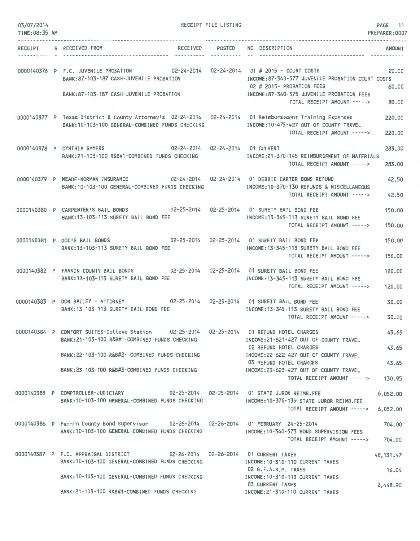| 03/07/2014<br>TIME:08:35 AM |                                                                                                                                                                           | RECEIPT FILE LISTING |                                                                                                                            | PAGE 11<br>PREPARER: 0007 |
|-----------------------------|---------------------------------------------------------------------------------------------------------------------------------------------------------------------------|----------------------|----------------------------------------------------------------------------------------------------------------------------|---------------------------|
|                             | RECEIPT S RECEIVED FROM                                                                                                                                                   | ----------           | RECEIVED POSTED NO DESCRIPTION<br>-----------------------------                                                            | <b>AMOUNT</b>             |
|                             | 0000140376 P F.C. JUVENILE PROBATION 02-24-2014 02-24-2014 01 # 2015 - COURT COSTS<br>BANK:87-103-187 CASH-JUVENILE PROBATION<br>BANK: 87-103-187 CASH-JUVENILE PROBATION |                      | INCOME:87-340-577 JUVENILE PROBATION COURT COSTS<br>02 # 2015- PROBATION FEES<br>INCOME:87-340-575 JUVENILE PROBATION FEES | 20.00<br>60.00            |
|                             |                                                                                                                                                                           |                      | TOTAL RECEIPT AMOUNT ----->                                                                                                | 80,00                     |
|                             | 0000140377 P Texas District & County Attorney's 02-24-2014 02-24-2014 01 Reimbursement Training Expenses<br>BANK: 10-103-100 GENERAL-COMBINED FUNDS CHECKING              |                      | INCOME:10-475-427 OUT OF COUNTY TRAVEL<br>TOTAL RECEIPT AMOUNT ----->                                                      | 220,00<br>220.00          |
|                             | 02-24-2014  02-24-2014  01 CULVERT<br>0000140378 P CYNTHIA SMYERS<br>BANK:21-103-100 R&B#1-COMBINED FUNDS CHECKING                                                        |                      | INCOME:21-370-145 REIMBURSEMENT OF MATERIALS<br>TOTAL RECEIPT AMOUNT ----->                                                | 283,00<br>283.00          |
|                             | 0000140379 P MEADE-NORMAN INSURANCE 02-24-2014 02-24-2014 01 DEBBIE CARTER BOND REFUND<br>BANK: 10-103-100 GENERAL-COMBINED FUNDS CHECKING                                |                      | INCOME: 10-370-130 REFUNDS & MISCELLANEOUS<br>TOTAL RECEIPT AMOUNT ----->                                                  | 42.50<br>42.50            |
|                             | 0000140380 P CARPENTER'S BAIL BONDS 02-25-2014 02-25-2014 01 SURETY BAIL BOND FEE<br>BANK: 13-103-113 SURETY BAIL BOND FEE                                                |                      | INCOME: 13-345-113 SURETY BAIL BOND FEE                                                                                    | 150.00                    |
|                             | 02-25-2014  02-25-2014  01 SURETY BAIL BOND FEE                                                                                                                           |                      | TOTAL RECEIPT AMOUNT ----->                                                                                                | 150.00                    |
|                             | 0000140381 P DOC'S BAIL BONDS<br>BANK: 13-103-113 SURETY BAIL BOND FEE                                                                                                    |                      | INCOME: 13-345-113 SURETY BAIL BOND FEE<br>TOTAL RECEIPT AMOUNT ----->                                                     | 150.00<br>150.00          |
|                             | 0000140382 P FANNIN COUNTY BAIL BONDS 02-25-2014 02-25-2014 01 SURETY BAIL BOND FEE<br>BANK: 13-103-113 SURETY BAIL BOND FEE                                              |                      | INCOME: 13-345-113 SURETY BAIL BOND FEE<br>TOTAL RECEIPT AMOUNT ----->                                                     | 120,00<br>120,00          |
|                             | 0000140383 P DON BAILEY - ATTORNEY 02-25-2014 02-25-2014 01 SURETY BAIL BOND FEE<br>BANK: 13-103-113 SURETY BAIL BOND FEE                                                 |                      | INCOME: 13-345-113 SURETY BAIL BOND FEE<br>TOTAL RECEIPT AMOUNT ----->                                                     | 30.00<br>30.00            |
|                             | 0000140384 P COMFORT SUITES-College Station 02-25-2014 02-25-2014 01 REFUND HOTEL CHARGES<br>BANK:21-103-100 R&B#1-COMBINED FUNDS CHECKING                                |                      | INCOME: 21-621-427 OUT OF COUNTY TRAVEL                                                                                    | 43.65                     |
|                             | BANK:22-103-100 R&B#2- COMBINED FUNDS CHECKING                                                                                                                            |                      | 02 REFUND HOTEL CHARGES<br>INCOME:22-622-427 OUT OF COUNTY TRAVEL                                                          | 43.65                     |
|                             | BANK:23-103-100 R&B#3-COMBINED FUNDS CHECKING                                                                                                                             |                      | 03 REFUND HOTEL CHARGES<br>INCOME: 23-623-427 OUT OF COUNTY TRAVEL                                                         | 43.65                     |
|                             |                                                                                                                                                                           |                      | TOTAL RECEIPT AMOUNT ----->                                                                                                | 130.95                    |
|                             | 0000140385 P COMPTROLLER-JUDICIARY 02-25-2014 02-25-2014 01 STATE JUROR REIMB.FEE<br>BANK:10-103-100 GENERAL-COMBINED FUNDS CHECKING                                      |                      | INCOME:10-370-139 STATE JUROR REIMB.FEE<br>TOTAL RECEIPT AMOUNT -----> 6,052.00                                            | 6,052.00                  |
|                             | 0000140386 P Fannin County Bond Supervisor 02-26-2014 02-26-2014 01 FEBRUARY 24-25-2014                                                                                   |                      |                                                                                                                            | 704.00                    |
|                             | BANK: 10-103-100 GENERAL-COMBINED FUNDS CHECKING                                                                                                                          |                      | INCOME:10-340-573 BOND SUPERVISION FEES<br>TOTAL RECEIPT AMOUNT ----->                                                     | 704.00                    |
|                             | 0000140387 P F.C. APPRAISAL DISTRICT 02-26-2014 02-26-2014 01 CURRENT TAXES<br>BANK: 10-103-100 GENERAL-COMBINED FUNDS CHECKING                                           |                      | INCOME: 10-310-110 CURRENT TAXES                                                                                           | 48, 131.47                |
|                             | BANK: 10-103-100 GENERAL-COMBINED FUNDS CHECKING                                                                                                                          |                      | 02 G.F.A.B.P. TAXES<br>INCOME: 10-310-110 CURRENT TAXES                                                                    | 16.04                     |
|                             | BANK: 21-103-100 R&B#1-COMBINED FUNDS CHECKING                                                                                                                            |                      | 03 CURRENT TAXES<br>INCOME: 21-310-110 CURRENT TAXES                                                                       | 2,448.90                  |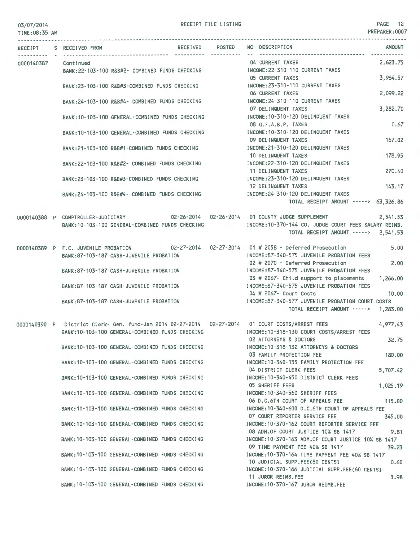RECEIPT FILE LISTING **PAGE 12** 

PREPARER:0007 TIME:08:35 AM --------------------------------------------------------------------------------------------------------------------------------- RECEIPT S RECEIVED FROM RECEIVED RECEIVED POSTED NO DESCRIPTION AMOUNT 04 CURRENT TAXES 0000140387 Continued 2,623.75 BANK:22-103-100 R&B#2- COMBINED FUNDS CHECKING INCOME:22 -310-110 CURRENT TAXES 05 CURRENT TAXES 3, 964.57 BANK:23-103-100 R&B#3-COMBINED FUNDS CHECKING INCOME:23-310-110 CURRENT TAXES 06 CURRENT TAXES 2,099.22 BANK:24-103-100 R&B#4- COMBINED FUNDS CHECKING INCOME:24-310- 110 CURRENT TAXES 07 DELINQUENT TAXES 3,282.70 INCOME:10-310-120 DELINQUENT TAXES BANK:10-103-100 GENERAL-COMBINED FUNDS CHECKING 08 G.F.A.B.P. TAXES 0.67 BANK:10-103-100 GENERAL-COMBINED FUNDS CHECKING INCOME:10-310-120 DELINQUENT TAXES 09 DELINQUENT TAXES 167.02 BANK:21-103-100 R&B#1-COMBINED FUNDS CHECKING INCOME:21 -310-120 DELINQUENT TAXES 10 DELINQUENT TAXES 178.95 INCOME:22 -310-120 DELINQUENT TAXES BANK:22-103-100 R&B#2- COMBINED FUNDS CHECKING 11 DELINQUENT TAXES 270.40 BANK:23-103-100 R&B#3 -COMBINED FUNDS CHECKING INCOME:23-310-120 DELINQUENT TAXES 12 DELINQUENT TAXES 143.17 BANK:24-103-100 R&B#4- COMBINED FUNDS CHECKING INCOME:24-310-120 DELINQUENT TAXES TOTAL RECEIPT AMOUNT -----> 63,326.86 0000140388 P COMPTROLLER-JUDICIARY 02-26-2014 01 COUNTY JUDGE SUPPLEMENT 2,541.53 INCOME:10-370-144 CO. JUDGE COURT FEES SALARY REIMB. BANK:10-103-100 GENERAL-COMBINED FUNDS CHECKING TOTAL RECEIPT AMOUNT-----> 2,541.53 5.00 0000140389 P F.C. JUVENILE PROBATION 02-27-2014 01 # 2058 - Deferred Prosecution BANK:87-103-187 CASH-JUVENILE PROBATION INCOME:87-340-575 JUVENILE PROBATION FEES 02 # 2070 - Deferred Prosecution 2.00 BANK:87-103-187 CASH-JUVENILE PROBATION INCOME:87-340-575 JUVENILE PROBATION FEES 03 # 2067- Child support to placements 1,266.00 INCOME:87-340-575 JUVENILE PROBATION FEES BANK:87-103-187 CASH-JUVENILE PROBATION 04 # 2067- Court Costs 10.00 BANK:87-103-187 CASH-JUVENILE PROBATION INCOME:87-340-577 JUVENILE PROBATION COURT COSTS TOTAL RECEIPT AMOUNT -----> 1,283.00 0000140390 P District Clerk- Gen. fund-Jan 2014 02-27-2014 02-27-2014 01 COURT COSTS/ARREST FEES 4,977.43 BANK:10-103-100 GENERAL-COMBINED FUNDS CHECKING INCOME:10-318-130 COURT COSTS/ARREST FEES 02 ATTORNEYS & DOCTORS 32.75 BANK:10-103-100 GENERAL-COMBINED FUNDS CHECKING INCOME:10 -318-132 ATTORNEYS & DOCTORS 03 FAMILY PROTECTION FEE 180.00 BANK: 10-103- 100 GENERAL-COMBINED FUNDS CHECKING INCOME:10-340-135 FAMILY PROTECTION FEE 04 DISTRICT CLERK FEES 5,707.42 BANK:10- 103- 100 GENERAL-COMBINED FUNDS CHECKING INCOME:10-340-450 DISTRICT CLERK FEES 05 SHERIFF FEES 1,025.19 BANK: 10-103-100 GENERAL-COMBINED FUNDS CHECKING INCOME:10 -340-560 SHERIFF FEES 06 D.C.6TH COURT OF APPEALS FEE 115.00 BANK:10-103-100 GENERAL-COMBINED FUNDS CHECKING INCOME:10-340-600 D.C.6TH COURT OF APPEALS FEE 07 COURT REPORTER SERVICE FEE 345.00 BANK:10-103-100 GENERAL-COMBINED FUNDS CHECKING INCOME:10-370-162 COURT REPORTER SERVICE FEE 08 ADM.OF COURT JUSTICE 10% SB 1417 9.81 BANK: 10-103-100 GENERAL-COMBINED FUNDS CHECKING INCOME:10-370- 163 ADM.OF COURT JUSTICE 10% SB 1417 09 TIME PAYMENT FEE 40% SB 1417 39.23 BANK:10-103-100 GENERAL-COMBINED FUNDS CHECKING INCOME:10-370-164 TIME PAYMENT FEE 40% SB 1417 10 JUDICIAL SUPP. FEE (60 CENTS) 0.60 BANK:10-103-100 GENERAL-COMBINED FUNDS CHECKING INCOME:10-370-166 JUDICIAL SUPP.FEE(60 CENTS) 11 JUROR REIMB.FEE 3.98 BANK:10-103-100 GENERAL -COMBINED FUNDS CHECKING INCOME:10-370- 167 JUROR REIMB.FEE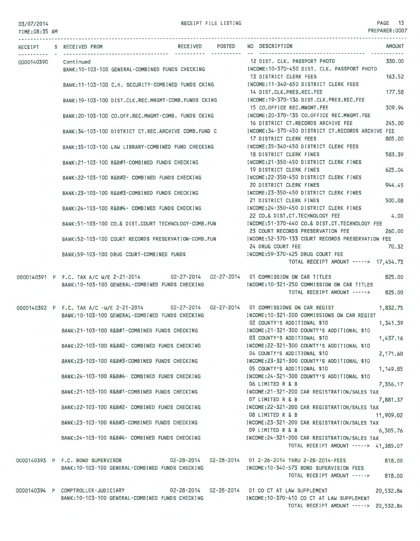### 03/07/2014 TIME:08:35 AM

RECEIPT FILE LISTING PAGE 13 PREPARER:0007

|  | RECEIPT S RECEIVED FROM            |                                                      | RECEIVED POSTED | NO DESCRIPTION                                                                                                                             | AMOUNT    |
|--|------------------------------------|------------------------------------------------------|-----------------|--------------------------------------------------------------------------------------------------------------------------------------------|-----------|
|  |                                    |                                                      | -----------     | -------------------------------                                                                                                            |           |
|  | 0000140390 Continued               | BANK:10-103-100 GENERAL-COMBINED FUNDS CHECKING      |                 | 12 DIST. CLK. PASSPORT PHOTO<br>INCOME:10-370-450 DIST. CLK. PASSPORT PHOTO                                                                | 330.00    |
|  |                                    | BANK:11-103-100 C.H. SECURITY-COMBINED FUNDS CKING   |                 | 13 DISTRICT CLERK FEES<br>INCOME: 11-340-650 DISTRICT CLERK FEES                                                                           | 163.52    |
|  |                                    | BANK: 19-103-100 DIST.CLK.REC.MNGMT-COMB.FUNDS CKING |                 | 14 DIST.CLK.PRES.REC.FEE<br>INCOME:19-370-136 DIST.CLK.PRES.REC.FEE                                                                        | 177,58    |
|  |                                    | BANK:20-103-100 CO.OFF.REC.MNGMT-COMB. FUNDS CKING   |                 | 15 CO.OFFICE REC.MNGMT.FEE<br>INCOME:20-370-135 CO.OFFICE REC.MNGMT.FEE                                                                    | 309.94    |
|  |                                    | BANK: 34-103-100 DISTRICT CT.REC.ARCHIVE COMB.FUND C |                 | 16 DISTRICT CT.RECORDS ARCHIVE FEE<br>INCOME:34-370-450 DISTRICT CT.RECORDS ARCHIVE FEE                                                    | 245.00    |
|  |                                    | BANK:35-103-100 LAW LIBRARY-COMBINED FUND CHECKING   |                 | 17 DISTRICT CLERK FEES<br>INCOME: 35-340-450 DISTRICT CLERK FEES                                                                           | 805.00    |
|  |                                    | BANK:21-103-100 R&B#1-COMBINED FUNDS CHECKING        |                 | 18 DISTRICT CLERK FINES<br>INCOME:21-350-450 DISTRICT CLERK FINES                                                                          | 583.39    |
|  |                                    | BANK:22-103-100 R&B#2- COMBINED FUNDS CHECKING       |                 | 19 DISTRICT CLERK FINES<br>INCOME:22-350-450 DISTRICT CLERK FINES                                                                          | 625.04    |
|  |                                    | BANK:23-103-100 R&B#3-COMBINED FUNDS CHECKING        |                 | 20 DISTRICT CLERK FINES<br>INCOME:23-350-450 DISTRICT CLERK FINES                                                                          | 944.45    |
|  |                                    | BANK:24-103-100 R&B#4- COMBINED FUNDS CHECKING       |                 | 21 DISTRICT CLERK FINES<br>INCOME:24-350-450 DISTRICT CLERK FINES                                                                          | 500,08    |
|  |                                    | BANK:51-103-100 CO.& DIST.COURT TECHNOLOGY-COMB.FUN  |                 | 22 CO.& DIST.CT.TECHNOLOGY FEE<br>INCOME:51-370-440 CO.& DIST.CT.TECHNOLOGY FEE                                                            | 4.00      |
|  |                                    | BANK:52-103-100 COURT RECORDS PRESERVATION-COMB.FUN  |                 | 23 COURT RECORDS PRESERVATION FEE<br>INCOME:52-370-133 COURT RECORDS PRESERVATION FEE                                                      | 260.00    |
|  |                                    | BANK:59-103-100 DRUG COURT-COMBINED FUNDS            |                 | 24 DRUG COURT FEE<br>INCOME:59-370-425 DRUG COURT FEE                                                                                      | 70.32     |
|  |                                    |                                                      |                 | TOTAL RECEIPT AMOUNT -----> 17,454.73                                                                                                      |           |
|  |                                    | BANK: 10-103-100 GENERAL-COMBINED FUNDS CHECKING     |                 | 0000140391 P F.C. TAX A/C W/E 2-21-2014 02-27-2014 02-27-2014 01 COMMISSION ON CAR TITLES<br>INCOME:10-321-250 COMMISSION ON CAR TITLES    | 825,00    |
|  |                                    |                                                      |                 | TOTAL RECEIPT AMOUNT ----->                                                                                                                | 825.00    |
|  |                                    | BANK:10-103-100 GENERAL-COMBINED FUNDS CHECKING      |                 | 0000140392 P F.C. TAX A/C -W/E 2-21-2014 02-27-2014 02-27-2014 01 COMMISSIONS ON CAR REGIST<br>INCOME:10-321-200 COMMISSIONS ON CAR REGIST | 1,832.75  |
|  |                                    | BANK:21-103-100 R&B#1-COMBINED FUNDS CHECKING        |                 | 02 COUNTY'S ADDITIONAL \$10<br>INCOME:21-321-300 COUNTY'S ADDITIONAL \$10                                                                  | 1,341.39  |
|  |                                    | BANK:22-103-100 R&B#2- COMBINED FUNDS CHECKING       |                 | 03 COUNTY'S ADDITIONAL \$10<br>INCOME:22-321-300 COUNTY'S ADDITIONAL \$10                                                                  | 1,437.16  |
|  |                                    | BANK: 23-103-100 R&B#3-COMBINED FUNDS CHECKING       |                 | 04 COUNTY'S ADDITIONAL \$10<br>INCOME: 23-321-300 COUNTY'S ADDITIONAL \$10                                                                 | 2,171.60  |
|  |                                    | BANK:24-103-100 R&B#4- COMBINED FUNDS CHECKING       |                 | 05 COUNTY'S ADDITIONAL \$10<br>INCOME: 24-321-300 COUNTY'S ADDITIONAL \$10                                                                 | 1,149.85  |
|  |                                    | BANK:21-103-100 R&B#1-COMBINED FUNDS CHECKING        |                 | 06 LIMITED R & B<br>INCOME:21-321-200 CAR REGISTRATION/SALES TAX                                                                           | 7,356.17  |
|  |                                    | BANK:22-103-100 R&B#2- COMBINED FUNDS CHECKING       |                 | 07 LIMITED R & B<br>INCOME: 22-321-200 CAR REGISTRATION/SALES TAX                                                                          | 7,881.37  |
|  |                                    | BANK:23-103-100 R&B#3-COMBINED FUNDS CHECKING        |                 | 08 LIMITED R & B<br>INCOME: 23-321-200 CAR REGISTRATION/SALES TAX                                                                          | 11,909.02 |
|  |                                    | BANK:24-103-100 R&B#4- COMBINED FUNDS CHECKING       |                 | 09 LIMITED R & B<br>INCOME:24-321-200 CAR REGISTRATION/SALES TAX<br>TOTAL RECEIPT AMOUNT -----> 41,385.07                                  | 6,305.76  |
|  |                                    | BANK:10-103-100 GENERAL-COMBINED FUNDS CHECKING      |                 | 0000140393 P F.C. BOND SUPERVISOR 02-28-2014 02-28-2014 01 2-26-2014 THRU 2-28-2014-FEES<br>INCOME:10-340-573 BOND SUPERVISION FEES        | 818.00    |
|  |                                    |                                                      |                 | TOTAL RECEIPT AMOUNT ----->                                                                                                                | 818.00    |
|  | 0000140394 P COMPTROLLER-JUDICIARY | BANK: 10-103-100 GENERAL-COMBINED FUNDS CHECKING     |                 | INCOME:10-370-410 CO CT AT LAW SUPPLEMENT                                                                                                  | 20,532.84 |
|  |                                    |                                                      |                 | TOTAL RECEIPT AMOUNT -----> 20,532.84                                                                                                      |           |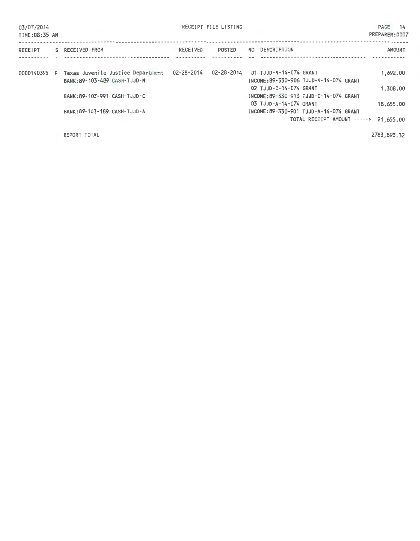|  | 03/07/2014 |  |
|--|------------|--|
|--|------------|--|

RECEIPT FILE LISTING

PAGE 14 PREPARER:0007

| TIME:08:35 AM |                                   |            |            |     |                        |                                        | PREPARER:0007 |
|---------------|-----------------------------------|------------|------------|-----|------------------------|----------------------------------------|---------------|
| RECEIPT       | S RECEIVED FROM                   | RECEIVED   | POSTED     | NO. | DESCRIPTION            |                                        | <b>AMOUNT</b> |
|               |                                   |            |            |     |                        |                                        |               |
| 0000140395 P  | Texas Juvenile Justice Department | 02-28-2014 | 02-28-2014 |     | 01 TJJD-N-14-074 GRANT |                                        | 1,692.00      |
|               | BANK: 89-103-489 CASH-TJJD-N      |            |            |     |                        | INCOME:89-330-906 TJJD-N-14-074 GRANT  |               |
|               |                                   |            |            |     | 02 TJJD-C-14-074 GRANT |                                        | 1,308,00      |
|               | BANK: 89-103-991 CASH-TJJD-C      |            |            |     |                        | INCOME: 89-330-913 TJJD-C-14-074 GRANT |               |
|               |                                   |            |            |     | 03 TJJD-A-14-074 GRANT |                                        | 18,655,00     |
|               | BANK: 89-103-189 CASH-TJJD-A      |            |            |     |                        | INCOME: 89-330-901 TJJD-A-14-074 GRANT |               |
|               |                                   |            |            |     |                        | TOTAL RECEIPT AMOUNT -----> 21.655.00  |               |
|               |                                   |            |            |     |                        |                                        |               |

REPORT TOTAL

2783.893.32